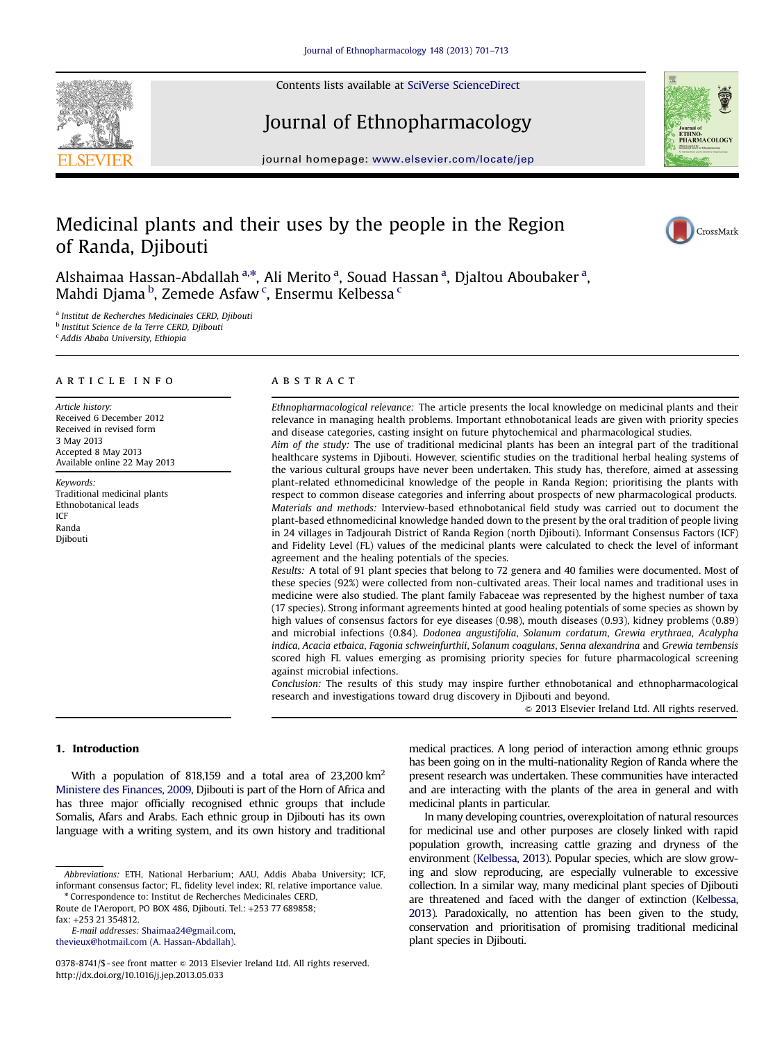Contents lists available at SciVerse ScienceDirect







journal homepage: <www.elsevier.com/locate/jep>per.com/locate/jepper.com/locate/jepper.com/locate/jepper.com/locate/jepper.com/locate/jepper.com/locate/jepper.com/locate/jepper.com/locate/jepper.com/locate/jepper.com/locate

# Medicinal plants and their uses by the people in the Region of Randa, Djibouti



Alshaimaa Hassan-Abdallah <sup>a,\*</sup>, Ali Merito <sup>a</sup>, Souad Hassan <sup>a</sup>, Djaltou Aboubaker <sup>a</sup>, Mahdi Djama <sup>b</sup>, Zemede Asfaw <sup>c</sup>, Ensermu Kelbessa <sup>c</sup>

<sup>a</sup> Institut de Recherches Medicinales CERD, Djibouti

<sup>b</sup> Institut Science de la Terre CERD, Djibouti

<sup>c</sup> Addis Ababa University, Ethiopia

## article info

Article history: Received 6 December 2012 Received in revised form 3 May 2013 Accepted 8 May 2013 Available online 22 May 2013

Keywords: Traditional medicinal plants Ethnobotanical leads ICF Randa Diibouti

#### **ABSTRACT**

Ethnopharmacological relevance: The article presents the local knowledge on medicinal plants and their relevance in managing health problems. Important ethnobotanical leads are given with priority species and disease categories, casting insight on future phytochemical and pharmacological studies.

Aim of the study: The use of traditional medicinal plants has been an integral part of the traditional healthcare systems in Djibouti. However, scientific studies on the traditional herbal healing systems of the various cultural groups have never been undertaken. This study has, therefore, aimed at assessing plant-related ethnomedicinal knowledge of the people in Randa Region; prioritising the plants with respect to common disease categories and inferring about prospects of new pharmacological products. Materials and methods: Interview-based ethnobotanical field study was carried out to document the plant-based ethnomedicinal knowledge handed down to the present by the oral tradition of people living in 24 villages in Tadjourah District of Randa Region (north Djibouti). Informant Consensus Factors (ICF) and Fidelity Level (FL) values of the medicinal plants were calculated to check the level of informant agreement and the healing potentials of the species.

Results: A total of 91 plant species that belong to 72 genera and 40 families were documented. Most of these species (92%) were collected from non-cultivated areas. Their local names and traditional uses in medicine were also studied. The plant family Fabaceae was represented by the highest number of taxa (17 species). Strong informant agreements hinted at good healing potentials of some species as shown by high values of consensus factors for eye diseases (0.98), mouth diseases (0.93), kidney problems (0.89) and microbial infections (0.84). Dodonea angustifolia, Solanum cordatum, Grewia erythraea, Acalypha indica, Acacia etbaica, Fagonia schweinfurthii, Solanum coagulans, Senna alexandrina and Grewia tembensis scored high FL values emerging as promising priority species for future pharmacological screening against microbial infections.

Conclusion: The results of this study may inspire further ethnobotanical and ethnopharmacological research and investigations toward drug discovery in Djibouti and beyond.

 $\odot$  2013 Elsevier Ireland Ltd. All rights reserved.

#### 1. Introduction

With a population of 818,159 and a total area of  $23,200$  km<sup>2</sup> [Ministere des Finances, 2009,](#page-12-0) Djibouti is part of the Horn of Africa and has three major officially recognised ethnic groups that include Somalis, Afars and Arabs. Each ethnic group in Djibouti has its own language with a writing system, and its own history and traditional

Route de l'Aeroport, PO BOX 486, Djibouti. Tel.: +253 77 689858;

fax: +253 21 354812.

E-mail addresses: [Shaimaa24@gmail.com,](mailto:thevieux@hotmail.com) [thevieux@hotmail.com \(A. Hassan-Abdallah\).](mailto:thevieux@hotmail.com) medical practices. A long period of interaction among ethnic groups has been going on in the multi-nationality Region of Randa where the present research was undertaken. These communities have interacted and are interacting with the plants of the area in general and with medicinal plants in particular.

In many developing countries, overexploitation of natural resources for medicinal use and other purposes are closely linked with rapid population growth, increasing cattle grazing and dryness of the environment [\(Kelbessa, 2013\)](#page-12-0). Popular species, which are slow growing and slow reproducing, are especially vulnerable to excessive collection. In a similar way, many medicinal plant species of Djibouti are threatened and faced with the danger of extinction [\(Kelbessa,](#page-12-0) [2013\)](#page-12-0). Paradoxically, no attention has been given to the study, conservation and prioritisation of promising traditional medicinal plant species in Djibouti.

Abbreviations: ETH, National Herbarium; AAU, Addis Ababa University; ICF, informant consensus factor; FL, fidelity level index; RI, relative importance value. \* Correspondence to: Institut de Recherches Medicinales CERD,

<sup>0378-8741/\$ -</sup> see front matter @ 2013 Elsevier Ireland Ltd. All rights reserved. <http://dx.doi.org/10.1016/j.jep.2013.05.033>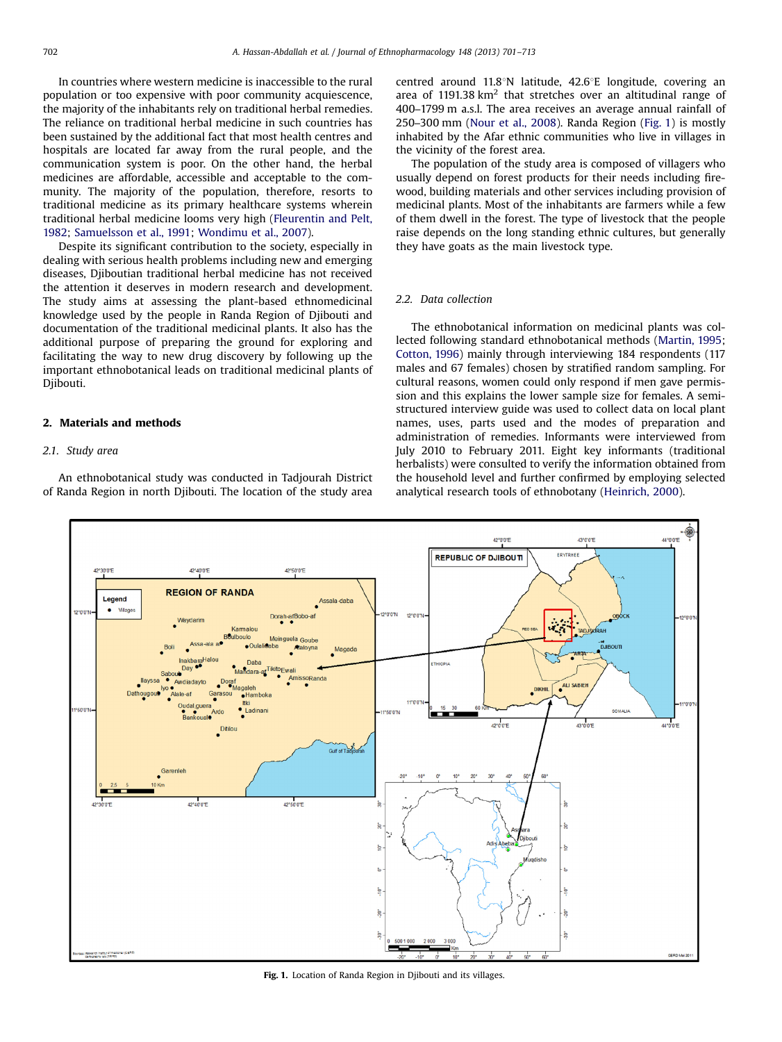In countries where western medicine is inaccessible to the rural population or too expensive with poor community acquiescence, the majority of the inhabitants rely on traditional herbal remedies. The reliance on traditional herbal medicine in such countries has been sustained by the additional fact that most health centres and hospitals are located far away from the rural people, and the communication system is poor. On the other hand, the herbal medicines are affordable, accessible and acceptable to the community. The majority of the population, therefore, resorts to traditional medicine as its primary healthcare systems wherein traditional herbal medicine looms very high ([Fleurentin and Pelt,](#page-11-0) [1982](#page-11-0); [Samuelsson et al., 1991](#page-12-0); [Wondimu et al., 2007](#page-12-0)).

Despite its significant contribution to the society, especially in dealing with serious health problems including new and emerging diseases, Djiboutian traditional herbal medicine has not received the attention it deserves in modern research and development. The study aims at assessing the plant-based ethnomedicinal knowledge used by the people in Randa Region of Djibouti and documentation of the traditional medicinal plants. It also has the additional purpose of preparing the ground for exploring and facilitating the way to new drug discovery by following up the important ethnobotanical leads on traditional medicinal plants of Djibouti.

## 2. Materials and methods

#### 2.1. Study area

An ethnobotanical study was conducted in Tadjourah District of Randa Region in north Djibouti. The location of the study area

centred around  $11.8^\circ$ N latitude,  $42.6^\circ$ E longitude, covering an area of 1191.38  $km^2$  that stretches over an altitudinal range of 400–1799 m a.s.l. The area receives an average annual rainfall of 250–300 mm [\(Nour et al., 2008\)](#page-12-0). Randa Region (Fig. 1) is mostly inhabited by the Afar ethnic communities who live in villages in the vicinity of the forest area.

The population of the study area is composed of villagers who usually depend on forest products for their needs including firewood, building materials and other services including provision of medicinal plants. Most of the inhabitants are farmers while a few of them dwell in the forest. The type of livestock that the people raise depends on the long standing ethnic cultures, but generally they have goats as the main livestock type.

## 2.2. Data collection

The ethnobotanical information on medicinal plants was collected following standard ethnobotanical methods [\(Martin, 1995;](#page-12-0) [Cotton, 1996\)](#page-11-0) mainly through interviewing 184 respondents (117 males and 67 females) chosen by stratified random sampling. For cultural reasons, women could only respond if men gave permission and this explains the lower sample size for females. A semistructured interview guide was used to collect data on local plant names, uses, parts used and the modes of preparation and administration of remedies. Informants were interviewed from July 2010 to February 2011. Eight key informants (traditional herbalists) were consulted to verify the information obtained from the household level and further confirmed by employing selected analytical research tools of ethnobotany [\(Heinrich, 2000](#page-12-0)).



Fig. 1. Location of Randa Region in Djibouti and its villages.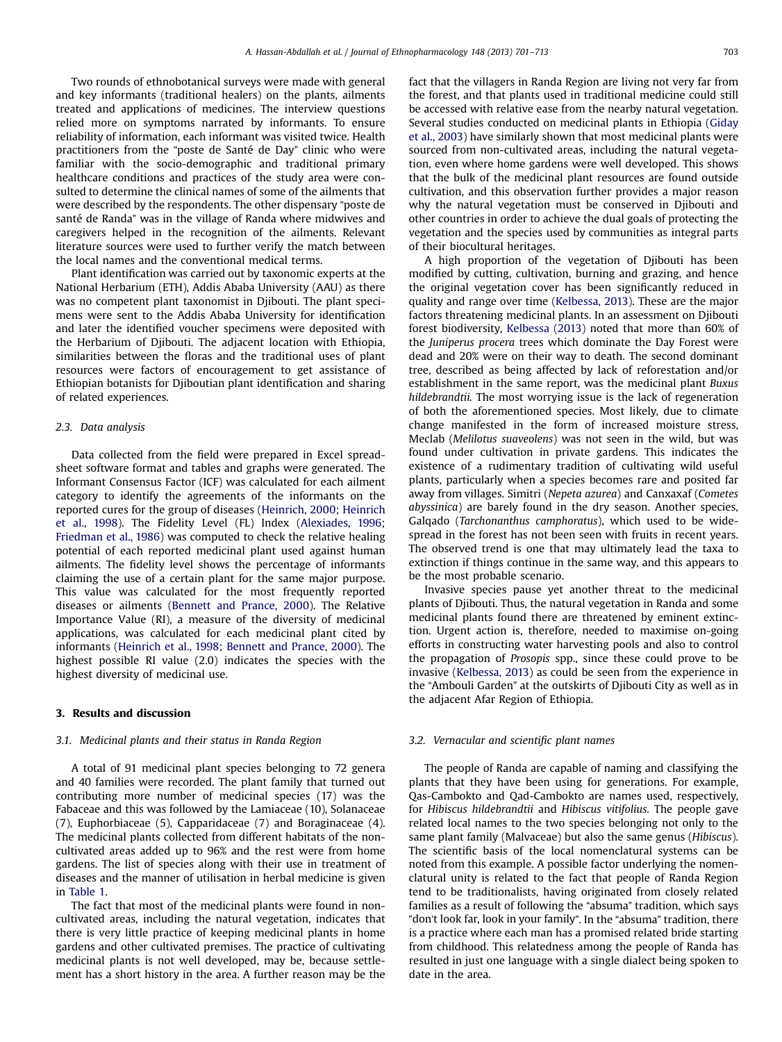Two rounds of ethnobotanical surveys were made with general and key informants (traditional healers) on the plants, ailments treated and applications of medicines. The interview questions relied more on symptoms narrated by informants. To ensure reliability of information, each informant was visited twice. Health practitioners from the "poste de Santé de Day" clinic who were familiar with the socio-demographic and traditional primary healthcare conditions and practices of the study area were consulted to determine the clinical names of some of the ailments that were described by the respondents. The other dispensary "poste de santé de Randa" was in the village of Randa where midwives and caregivers helped in the recognition of the ailments. Relevant literature sources were used to further verify the match between the local names and the conventional medical terms.

Plant identification was carried out by taxonomic experts at the National Herbarium (ETH), Addis Ababa University (AAU) as there was no competent plant taxonomist in Djibouti. The plant specimens were sent to the Addis Ababa University for identification and later the identified voucher specimens were deposited with the Herbarium of Djibouti. The adjacent location with Ethiopia, similarities between the floras and the traditional uses of plant resources were factors of encouragement to get assistance of Ethiopian botanists for Djiboutian plant identification and sharing of related experiences.

# 2.3. Data analysis

Data collected from the field were prepared in Excel spreadsheet software format and tables and graphs were generated. The Informant Consensus Factor (ICF) was calculated for each ailment category to identify the agreements of the informants on the reported cures for the group of diseases [\(Heinrich, 2000;](#page-12-0) [Heinrich](#page-12-0) [et al., 1998\)](#page-12-0). The Fidelity Level (FL) Index [\(Alexiades, 1996;](#page-11-0) [Friedman et al., 1986\)](#page-11-0) was computed to check the relative healing potential of each reported medicinal plant used against human ailments. The fidelity level shows the percentage of informants claiming the use of a certain plant for the same major purpose. This value was calculated for the most frequently reported diseases or ailments [\(Bennett and Prance, 2000\)](#page-11-0). The Relative Importance Value (RI), a measure of the diversity of medicinal applications, was calculated for each medicinal plant cited by informants [\(Heinrich et al., 1998;](#page-12-0) [Bennett and Prance, 2000\)](#page-11-0). The highest possible RI value (2.0) indicates the species with the highest diversity of medicinal use.

#### 3. Results and discussion

# 3.1. Medicinal plants and their status in Randa Region

A total of 91 medicinal plant species belonging to 72 genera and 40 families were recorded. The plant family that turned out contributing more number of medicinal species (17) was the Fabaceae and this was followed by the Lamiaceae (10), Solanaceae (7), Euphorbiaceae (5), Capparidaceae (7) and Boraginaceae (4). The medicinal plants collected from different habitats of the noncultivated areas added up to 96% and the rest were from home gardens. The list of species along with their use in treatment of diseases and the manner of utilisation in herbal medicine is given in [Table 1](#page-3-0).

The fact that most of the medicinal plants were found in noncultivated areas, including the natural vegetation, indicates that there is very little practice of keeping medicinal plants in home gardens and other cultivated premises. The practice of cultivating medicinal plants is not well developed, may be, because settlement has a short history in the area. A further reason may be the fact that the villagers in Randa Region are living not very far from the forest, and that plants used in traditional medicine could still be accessed with relative ease from the nearby natural vegetation. Several studies conducted on medicinal plants in Ethiopia ([Giday](#page-11-0) [et al., 2003\)](#page-11-0) have similarly shown that most medicinal plants were sourced from non-cultivated areas, including the natural vegetation, even where home gardens were well developed. This shows that the bulk of the medicinal plant resources are found outside cultivation, and this observation further provides a major reason why the natural vegetation must be conserved in Diibouti and other countries in order to achieve the dual goals of protecting the vegetation and the species used by communities as integral parts of their biocultural heritages.

A high proportion of the vegetation of Djibouti has been modified by cutting, cultivation, burning and grazing, and hence the original vegetation cover has been significantly reduced in quality and range over time [\(Kelbessa, 2013\)](#page-12-0). These are the major factors threatening medicinal plants. In an assessment on Djibouti forest biodiversity, [Kelbessa \(2013\)](#page-12-0) noted that more than 60% of the Juniperus procera trees which dominate the Day Forest were dead and 20% were on their way to death. The second dominant tree, described as being affected by lack of reforestation and/or establishment in the same report, was the medicinal plant Buxus hildebrandtii. The most worrying issue is the lack of regeneration of both the aforementioned species. Most likely, due to climate change manifested in the form of increased moisture stress, Meclab (Melilotus suaveolens) was not seen in the wild, but was found under cultivation in private gardens. This indicates the existence of a rudimentary tradition of cultivating wild useful plants, particularly when a species becomes rare and posited far away from villages. Simitri (Nepeta azurea) and Canxaxaf (Cometes abyssinica) are barely found in the dry season. Another species, Galqado (Tarchonanthus camphoratus), which used to be widespread in the forest has not been seen with fruits in recent years. The observed trend is one that may ultimately lead the taxa to extinction if things continue in the same way, and this appears to be the most probable scenario.

Invasive species pause yet another threat to the medicinal plants of Djibouti. Thus, the natural vegetation in Randa and some medicinal plants found there are threatened by eminent extinction. Urgent action is, therefore, needed to maximise on-going efforts in constructing water harvesting pools and also to control the propagation of Prosopis spp., since these could prove to be invasive ([Kelbessa, 2013](#page-12-0)) as could be seen from the experience in the "Ambouli Garden" at the outskirts of Djibouti City as well as in the adjacent Afar Region of Ethiopia.

#### 3.2. Vernacular and scientific plant names

The people of Randa are capable of naming and classifying the plants that they have been using for generations. For example, Qas-Cambokto and Qad-Cambokto are names used, respectively, for Hibiscus hildebrandtii and Hibiscus vitifolius. The people gave related local names to the two species belonging not only to the same plant family (Malvaceae) but also the same genus (Hibiscus). The scientific basis of the local nomenclatural systems can be noted from this example. A possible factor underlying the nomenclatural unity is related to the fact that people of Randa Region tend to be traditionalists, having originated from closely related families as a result of following the "absuma" tradition, which says "don't look far, look in your family". In the "absuma" tradition, there is a practice where each man has a promised related bride starting from childhood. This relatedness among the people of Randa has resulted in just one language with a single dialect being spoken to date in the area.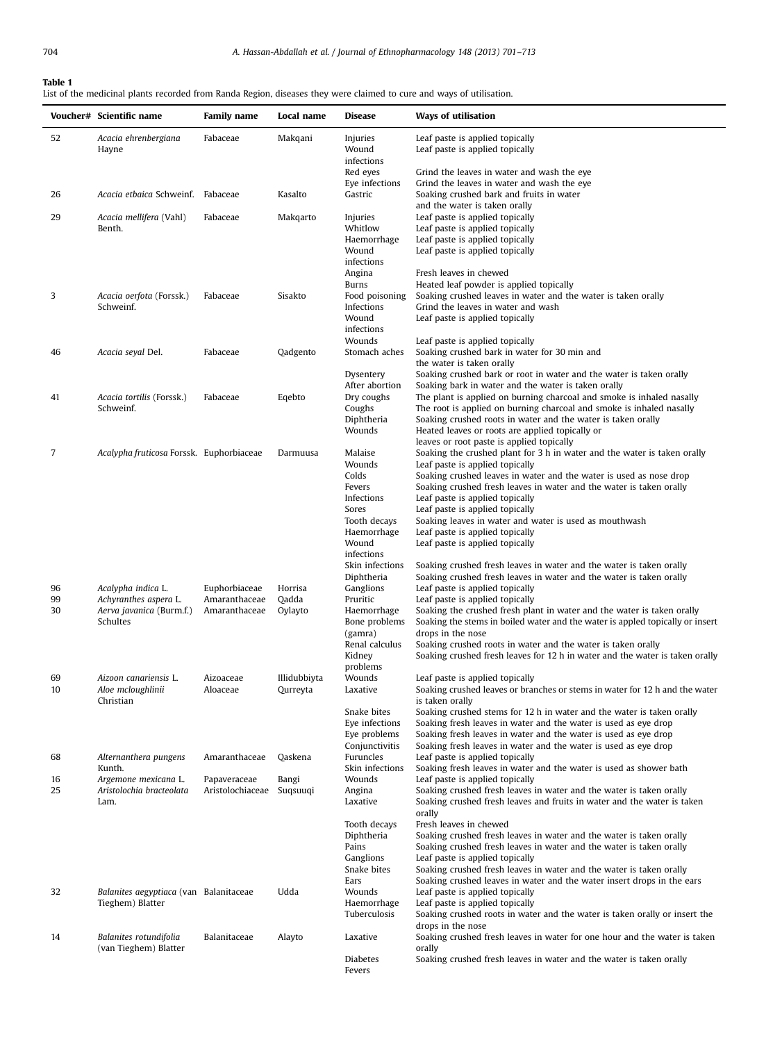## <span id="page-3-0"></span>Table 1

List of the medicinal plants recorded from Randa Region, diseases they were claimed to cure and ways of utilisation.

|                | Voucher# Scientific name                                                | <b>Family name</b>                              | Local name                  | <b>Disease</b>                                                          | <b>Ways of utilisation</b>                                                                                                                                                                                                                                                                                                                               |
|----------------|-------------------------------------------------------------------------|-------------------------------------------------|-----------------------------|-------------------------------------------------------------------------|----------------------------------------------------------------------------------------------------------------------------------------------------------------------------------------------------------------------------------------------------------------------------------------------------------------------------------------------------------|
| 52             | Acacia ehrenbergiana<br>Hayne                                           | Fabaceae                                        | Makqani                     | Injuries<br>Wound<br>infections                                         | Leaf paste is applied topically<br>Leaf paste is applied topically                                                                                                                                                                                                                                                                                       |
| 26             | Acacia etbaica Schweinf. Fabaceae                                       |                                                 | Kasalto                     | Red eyes<br>Eye infections<br>Gastric                                   | Grind the leaves in water and wash the eye<br>Grind the leaves in water and wash the eye<br>Soaking crushed bark and fruits in water                                                                                                                                                                                                                     |
| 29             | Acacia mellifera (Vahl)<br>Benth.                                       | Fabaceae                                        | Makqarto                    | Injuries<br>Whitlow                                                     | and the water is taken orally<br>Leaf paste is applied topically<br>Leaf paste is applied topically                                                                                                                                                                                                                                                      |
|                |                                                                         |                                                 |                             | Haemorrhage<br>Wound<br>infections<br>Angina                            | Leaf paste is applied topically<br>Leaf paste is applied topically<br>Fresh leaves in chewed                                                                                                                                                                                                                                                             |
| 3              | Acacia oerfota (Forssk.)<br>Schweinf.                                   | Fabaceae                                        | Sisakto                     | Burns<br>Food poisoning<br>Infections<br>Wound                          | Heated leaf powder is applied topically<br>Soaking crushed leaves in water and the water is taken orally<br>Grind the leaves in water and wash<br>Leaf paste is applied topically                                                                                                                                                                        |
| 46             | Acacia seyal Del.                                                       | Fabaceae                                        | Qadgento                    | infections<br>Wounds<br>Stomach aches                                   | Leaf paste is applied topically<br>Soaking crushed bark in water for 30 min and                                                                                                                                                                                                                                                                          |
|                |                                                                         |                                                 |                             | Dysentery<br>After abortion                                             | the water is taken orally<br>Soaking crushed bark or root in water and the water is taken orally<br>Soaking bark in water and the water is taken orally                                                                                                                                                                                                  |
| 41             | Acacia tortilis (Forssk.)<br>Schweinf.                                  | Fabaceae                                        | Eqebto                      | Dry coughs<br>Coughs<br>Diphtheria<br>Wounds                            | The plant is applied on burning charcoal and smoke is inhaled nasally<br>The root is applied on burning charcoal and smoke is inhaled nasally<br>Soaking crushed roots in water and the water is taken orally<br>Heated leaves or roots are applied topically or<br>leaves or root paste is applied topically                                            |
| 7              | Acalypha fruticosa Forssk. Euphorbiaceae                                |                                                 | Darmuusa                    | Malaise<br>Wounds<br>Colds                                              | Soaking the crushed plant for 3 h in water and the water is taken orally<br>Leaf paste is applied topically<br>Soaking crushed leaves in water and the water is used as nose drop                                                                                                                                                                        |
|                |                                                                         |                                                 |                             | Fevers<br>Infections<br>Sores<br>Tooth decays<br>Haemorrhage<br>Wound   | Soaking crushed fresh leaves in water and the water is taken orally<br>Leaf paste is applied topically<br>Leaf paste is applied topically<br>Soaking leaves in water and water is used as mouthwash<br>Leaf paste is applied topically                                                                                                                   |
|                |                                                                         |                                                 |                             | infections<br>Skin infections<br>Diphtheria                             | Leaf paste is applied topically<br>Soaking crushed fresh leaves in water and the water is taken orally<br>Soaking crushed fresh leaves in water and the water is taken orally                                                                                                                                                                            |
| 96<br>99<br>30 | Acalypha indica L.<br>Achyranthes aspera L.<br>Aerva javanica (Burm.f.) | Euphorbiaceae<br>Amaranthaceae<br>Amaranthaceae | Horrisa<br>Qadda<br>Oylayto | Ganglions<br>Pruritic<br>Haemorrhage                                    | Leaf paste is applied topically<br>Leaf paste is applied topically<br>Soaking the crushed fresh plant in water and the water is taken orally                                                                                                                                                                                                             |
|                | Schultes                                                                |                                                 |                             | Bone problems<br>(gamra)<br>Renal calculus                              | Soaking the stems in boiled water and the water is appled topically or insert<br>drops in the nose<br>Soaking crushed roots in water and the water is taken orally                                                                                                                                                                                       |
| 69             | Aizoon canariensis L.                                                   | Aizoaceae                                       | Illidubbiyta                | Kidney<br>problems<br>Wounds                                            | Soaking crushed fresh leaves for 12 h in water and the water is taken orally<br>Leaf paste is applied topically                                                                                                                                                                                                                                          |
| 10             | Aloe mcloughlinii<br>Christian                                          | Aloaceae                                        | Qurreyta                    | Laxative<br>Snake bites                                                 | Soaking crushed leaves or branches or stems in water for 12 h and the water<br>is taken orally<br>Soaking crushed stems for 12 h in water and the water is taken orally                                                                                                                                                                                  |
|                |                                                                         |                                                 |                             | Eye infections<br>Eye problems<br>Conjunctivitis                        | Soaking fresh leaves in water and the water is used as eye drop<br>Soaking fresh leaves in water and the water is used as eye drop<br>Soaking fresh leaves in water and the water is used as eye drop                                                                                                                                                    |
| 68             | Alternanthera pungens<br>Kunth.<br>Argemone mexicana L.                 | Amaranthaceae<br>Papaveraceae                   | Qaskena                     | Furuncles<br>Skin infections<br>Wounds                                  | Leaf paste is applied topically<br>Soaking fresh leaves in water and the water is used as shower bath<br>Leaf paste is applied topically                                                                                                                                                                                                                 |
| 16<br>25       | Aristolochia bracteolata<br>Lam.                                        | Aristolochiaceae Suqsuuqi                       | Bangi                       | Angina<br>Laxative                                                      | Soaking crushed fresh leaves in water and the water is taken orally<br>Soaking crushed fresh leaves and fruits in water and the water is taken<br>orally                                                                                                                                                                                                 |
|                |                                                                         |                                                 |                             | Tooth decays<br>Diphtheria<br>Pains<br>Ganglions<br>Snake bites<br>Ears | Fresh leaves in chewed<br>Soaking crushed fresh leaves in water and the water is taken orally<br>Soaking crushed fresh leaves in water and the water is taken orally<br>Leaf paste is applied topically<br>Soaking crushed fresh leaves in water and the water is taken orally<br>Soaking crushed leaves in water and the water insert drops in the ears |
| 32             | Balanites aegyptiaca (van Balanitaceae<br>Tieghem) Blatter              |                                                 | Udda                        | Wounds<br>Haemorrhage<br>Tuberculosis                                   | Leaf paste is applied topically<br>Leaf paste is applied topically<br>Soaking crushed roots in water and the water is taken orally or insert the<br>drops in the nose                                                                                                                                                                                    |
| 14             | Balanites rotundifolia<br>(van Tieghem) Blatter                         | Balanitaceae                                    | Alayto                      | Laxative                                                                | Soaking crushed fresh leaves in water for one hour and the water is taken<br>orally                                                                                                                                                                                                                                                                      |
|                |                                                                         |                                                 |                             | <b>Diabetes</b><br>Fevers                                               | Soaking crushed fresh leaves in water and the water is taken orally                                                                                                                                                                                                                                                                                      |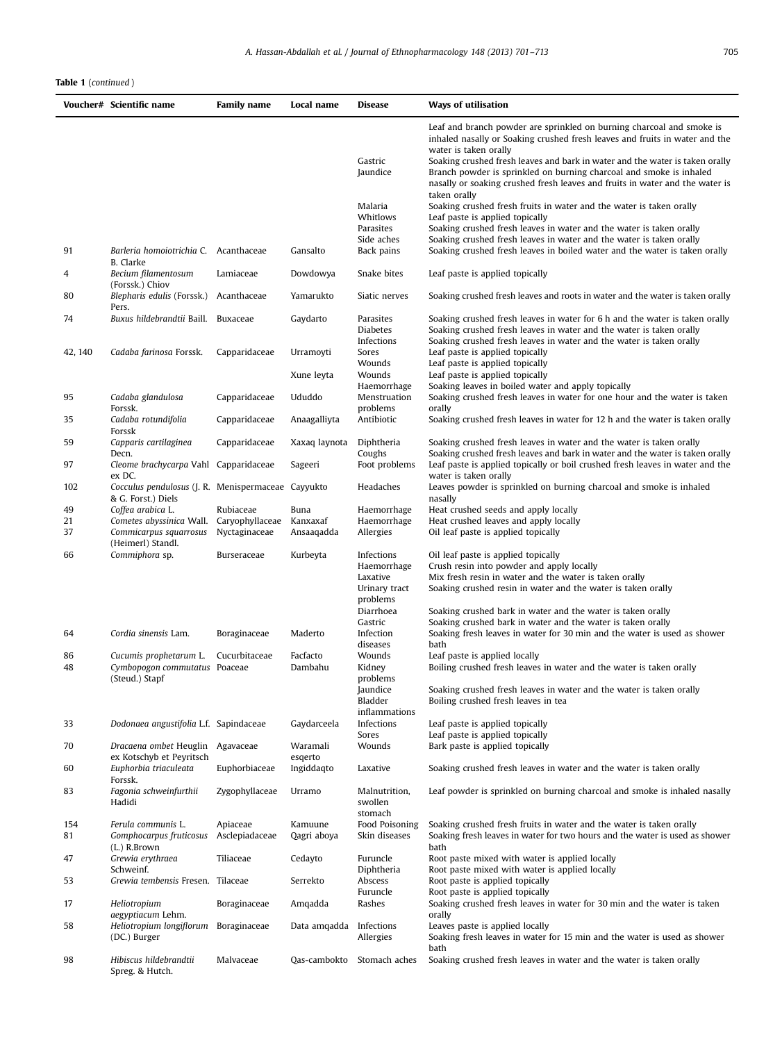# Table 1 (continued )

|           | Voucher# Scientific name                                                  | <b>Family name</b>               | Local name             | <b>Disease</b>                                                                             | <b>Ways of utilisation</b>                                                                                                                                                                                                                                                                                                                                                                                           |
|-----------|---------------------------------------------------------------------------|----------------------------------|------------------------|--------------------------------------------------------------------------------------------|----------------------------------------------------------------------------------------------------------------------------------------------------------------------------------------------------------------------------------------------------------------------------------------------------------------------------------------------------------------------------------------------------------------------|
|           |                                                                           |                                  |                        | Gastric<br>Jaundice                                                                        | Leaf and branch powder are sprinkled on burning charcoal and smoke is<br>inhaled nasally or Soaking crushed fresh leaves and fruits in water and the<br>water is taken orally<br>Soaking crushed fresh leaves and bark in water and the water is taken orally<br>Branch powder is sprinkled on burning charcoal and smoke is inhaled<br>nasally or soaking crushed fresh leaves and fruits in water and the water is |
|           |                                                                           |                                  |                        | Malaria<br>Whitlows<br>Parasites<br>Side aches                                             | taken orally<br>Soaking crushed fresh fruits in water and the water is taken orally<br>Leaf paste is applied topically<br>Soaking crushed fresh leaves in water and the water is taken orally<br>Soaking crushed fresh leaves in water and the water is taken orally                                                                                                                                                 |
| 91        | Barleria homoiotrichia C. Acanthaceae<br>B. Clarke                        |                                  | Gansalto               | Back pains                                                                                 | Soaking crushed fresh leaves in boiled water and the water is taken orally                                                                                                                                                                                                                                                                                                                                           |
| 4         | Becium filamentosum<br>(Forssk.) Chiov                                    | Lamiaceae                        | Dowdowya               | Snake bites                                                                                | Leaf paste is applied topically                                                                                                                                                                                                                                                                                                                                                                                      |
| 80        | Blepharis edulis (Forssk.)<br>Pers.                                       | Acanthaceae                      | Yamarukto              | Siatic nerves                                                                              | Soaking crushed fresh leaves and roots in water and the water is taken orally                                                                                                                                                                                                                                                                                                                                        |
| 74        | Buxus hildebrandtii Baill.                                                | Buxaceae                         | Gaydarto               | Parasites<br><b>Diabetes</b><br>Infections                                                 | Soaking crushed fresh leaves in water for 6 h and the water is taken orally<br>Soaking crushed fresh leaves in water and the water is taken orally<br>Soaking crushed fresh leaves in water and the water is taken orally                                                                                                                                                                                            |
| 42, 140   | Cadaba farinosa Forssk.                                                   | Capparidaceae                    | Urramoyti              | Sores<br>Wounds                                                                            | Leaf paste is applied topically<br>Leaf paste is applied topically                                                                                                                                                                                                                                                                                                                                                   |
|           |                                                                           |                                  | Xune leyta             | Wounds<br>Haemorrhage                                                                      | Leaf paste is applied topically<br>Soaking leaves in boiled water and apply topically                                                                                                                                                                                                                                                                                                                                |
| 95        | Cadaba glandulosa<br>Forssk.                                              | Capparidaceae                    | Ududdo                 | Menstruation<br>problems                                                                   | Soaking crushed fresh leaves in water for one hour and the water is taken<br>orally                                                                                                                                                                                                                                                                                                                                  |
| 35        | Cadaba rotundifolia<br>Forssk                                             | Capparidaceae                    | Anaagalliyta           | Antibiotic                                                                                 | Soaking crushed fresh leaves in water for 12 h and the water is taken orally                                                                                                                                                                                                                                                                                                                                         |
| 59        | Capparis cartilaginea<br>Decn.                                            | Capparidaceae                    | Xaxaq laynota          | Diphtheria<br>Coughs                                                                       | Soaking crushed fresh leaves in water and the water is taken orally<br>Soaking crushed fresh leaves and bark in water and the water is taken orally                                                                                                                                                                                                                                                                  |
| 97        | Cleome brachycarpa Vahl Capparidaceae<br>ex DC.                           |                                  | Sageeri                | Foot problems                                                                              | Leaf paste is applied topically or boil crushed fresh leaves in water and the<br>water is taken orally                                                                                                                                                                                                                                                                                                               |
| 102       | Cocculus pendulosus (J. R. Menispermaceae Cayyukto<br>& G. Forst.) Diels  |                                  |                        | Headaches                                                                                  | Leaves powder is sprinkled on burning charcoal and smoke is inhaled<br>nasally                                                                                                                                                                                                                                                                                                                                       |
| 49        | Coffea arabica L.                                                         | Rubiaceae                        | Buna                   | Haemorrhage                                                                                | Heat crushed seeds and apply locally                                                                                                                                                                                                                                                                                                                                                                                 |
| 21<br>37  | Cometes abyssinica Wall.<br>Commicarpus squarrosus<br>(Heimerl) Standl.   | Caryophyllaceae<br>Nyctaginaceae | Kanxaxaf<br>Ansaaqadda | Haemorrhage<br>Allergies                                                                   | Heat crushed leaves and apply locally<br>Oil leaf paste is applied topically                                                                                                                                                                                                                                                                                                                                         |
| 66        | Commiphora sp.                                                            | Burseraceae                      | Kurbeyta               | Infections<br>Haemorrhage<br>Laxative<br>Urinary tract<br>problems<br>Diarrhoea<br>Gastric | Oil leaf paste is applied topically<br>Crush resin into powder and apply locally<br>Mix fresh resin in water and the water is taken orally<br>Soaking crushed resin in water and the water is taken orally<br>Soaking crushed bark in water and the water is taken orally<br>Soaking crushed bark in water and the water is taken orally                                                                             |
| 64        | Cordia sinensis Lam.                                                      | Boraginaceae                     | Maderto                | Infection<br>diseases                                                                      | Soaking fresh leaves in water for 30 min and the water is used as shower<br>bath                                                                                                                                                                                                                                                                                                                                     |
| 86<br>48  | Cucumis prophetarum L.<br>Cymbopogon commutatus Poaceae<br>(Steud.) Stapf | Cucurbitaceae                    | Facfacto<br>Dambahu    | Wounds<br>Kidney<br>problems<br>Jaundice<br>Bladder<br>inflammations                       | Leaf paste is applied locally<br>Boiling crushed fresh leaves in water and the water is taken orally<br>Soaking crushed fresh leaves in water and the water is taken orally<br>Boiling crushed fresh leaves in tea                                                                                                                                                                                                   |
| 33        | Dodonaea angustifolia L.f. Sapindaceae                                    |                                  | Gaydarceela            | Infections<br>Sores                                                                        | Leaf paste is applied topically<br>Leaf paste is applied topically                                                                                                                                                                                                                                                                                                                                                   |
| 70        | Dracaena ombet Heuglin Agavaceae<br>ex Kotschyb et Peyritsch              |                                  | Waramali<br>esqerto    | Wounds                                                                                     | Bark paste is applied topically                                                                                                                                                                                                                                                                                                                                                                                      |
| 60        | Euphorbia triaculeata<br>Forssk.                                          | Euphorbiaceae                    | Ingiddaqto             | Laxative                                                                                   | Soaking crushed fresh leaves in water and the water is taken orally                                                                                                                                                                                                                                                                                                                                                  |
| 83        | Fagonia schweinfurthii<br>Hadidi                                          | Zygophyllaceae                   | Urramo                 | Malnutrition,<br>swollen<br>stomach                                                        | Leaf powder is sprinkled on burning charcoal and smoke is inhaled nasally                                                                                                                                                                                                                                                                                                                                            |
| 154<br>81 | Ferula communis L.<br>Gomphocarpus fruticosus<br>$(L)$ R.Brown            | Apiaceae<br>Asclepiadaceae       | Kamuune<br>Qagri aboya | Food Poisoning<br>Skin diseases                                                            | Soaking crushed fresh fruits in water and the water is taken orally<br>Soaking fresh leaves in water for two hours and the water is used as shower<br>bath                                                                                                                                                                                                                                                           |
| 47        | Grewia erythraea<br>Schweinf.                                             | Tiliaceae                        | Cedayto                | Furuncle<br>Diphtheria                                                                     | Root paste mixed with water is applied locally<br>Root paste mixed with water is applied locally                                                                                                                                                                                                                                                                                                                     |
| 53        | Grewia tembensis Fresen. Tilaceae                                         |                                  | Serrekto               | Abscess<br>Furuncle                                                                        | Root paste is applied topically<br>Root paste is applied topically                                                                                                                                                                                                                                                                                                                                                   |
| 17        | Heliotropium<br>aegyptiacum Lehm.                                         | Boraginaceae                     | Amqadda                | Rashes                                                                                     | Soaking crushed fresh leaves in water for 30 min and the water is taken<br>orally                                                                                                                                                                                                                                                                                                                                    |
| 58        | Heliotropium longiflorum<br>(DC.) Burger                                  | Boraginaceae                     | Data amqadda           | Infections<br>Allergies                                                                    | Leaves paste is applied locally<br>Soaking fresh leaves in water for 15 min and the water is used as shower<br>bath                                                                                                                                                                                                                                                                                                  |
| 98        | Hibiscus hildebrandtii<br>Spreg. & Hutch.                                 | Malvaceae                        | Qas-cambokto           | Stomach aches                                                                              | Soaking crushed fresh leaves in water and the water is taken orally                                                                                                                                                                                                                                                                                                                                                  |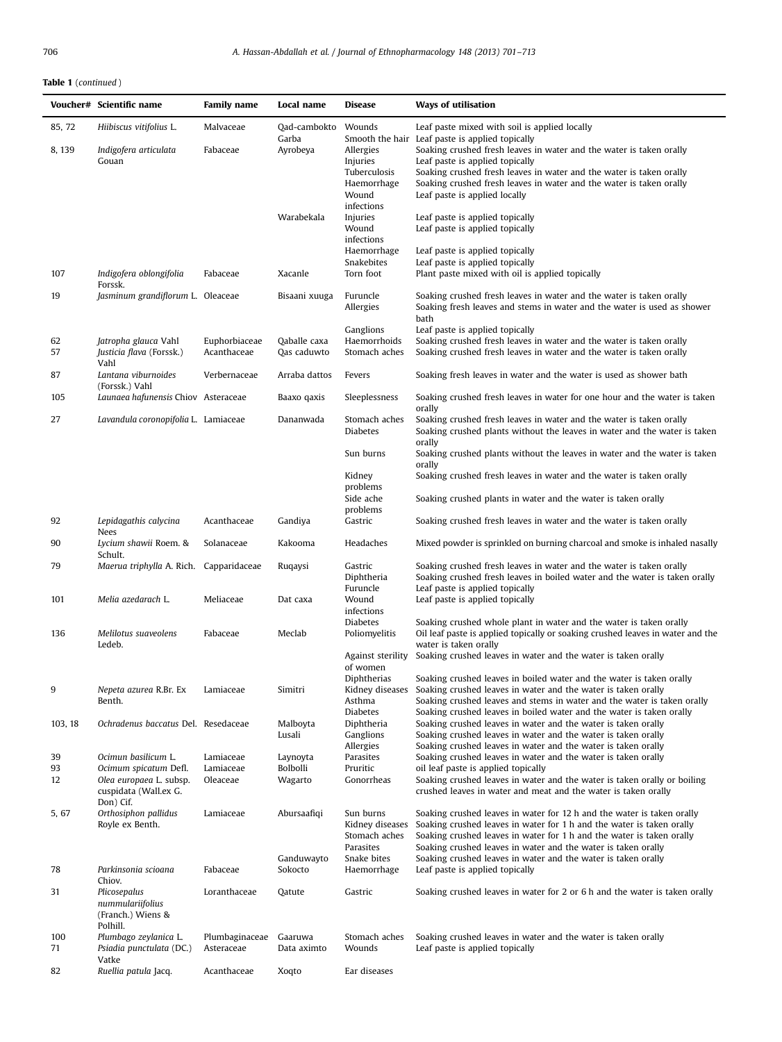## Table 1 (continued )

|           | Voucher# Scientific name                                                  | <b>Family name</b>           | Local name                  | <b>Disease</b>                                                | <b>Ways of utilisation</b>                                                                                                                                                                                                                                                                                                               |
|-----------|---------------------------------------------------------------------------|------------------------------|-----------------------------|---------------------------------------------------------------|------------------------------------------------------------------------------------------------------------------------------------------------------------------------------------------------------------------------------------------------------------------------------------------------------------------------------------------|
| 85, 72    | Hiibiscus vitifolius L.                                                   | Malvaceae                    | Qad-cambokto                | Wounds                                                        | Leaf paste mixed with soil is applied locally                                                                                                                                                                                                                                                                                            |
| 8, 139    | Indigofera articulata<br>Gouan                                            | Fabaceae                     | Garba<br>Ayrobeya           | Allergies<br>Injuries<br>Tuberculosis<br>Haemorrhage<br>Wound | Smooth the hair Leaf paste is applied topically<br>Soaking crushed fresh leaves in water and the water is taken orally<br>Leaf paste is applied topically<br>Soaking crushed fresh leaves in water and the water is taken orally<br>Soaking crushed fresh leaves in water and the water is taken orally<br>Leaf paste is applied locally |
|           |                                                                           |                              | Warabekala                  | infections<br>Injuries<br>Wound<br>infections                 | Leaf paste is applied topically<br>Leaf paste is applied topically                                                                                                                                                                                                                                                                       |
| 107       | Indigofera oblongifolia                                                   | Fabaceae                     | Xacanle                     | Haemorrhage<br>Snakebites<br>Torn foot                        | Leaf paste is applied topically<br>Leaf paste is applied topically<br>Plant paste mixed with oil is applied topically                                                                                                                                                                                                                    |
| 19        | Forssk.<br>Jasminum grandiflorum L. Oleaceae                              |                              | Bisaani xuuga               | Furuncle<br>Allergies                                         | Soaking crushed fresh leaves in water and the water is taken orally<br>Soaking fresh leaves and stems in water and the water is used as shower<br>bath                                                                                                                                                                                   |
| 62<br>57  | Jatropha glauca Vahl<br>Justicia flava (Forssk.)<br>Vahl                  | Euphorbiaceae<br>Acanthaceae | Qaballe caxa<br>Qas caduwto | Ganglions<br>Haemorrhoids<br>Stomach aches                    | Leaf paste is applied topically<br>Soaking crushed fresh leaves in water and the water is taken orally<br>Soaking crushed fresh leaves in water and the water is taken orally                                                                                                                                                            |
| 87        | Lantana viburnoides<br>(Forssk.) Vahl                                     | Verbernaceae                 | Arraba dattos               | Fevers                                                        | Soaking fresh leaves in water and the water is used as shower bath                                                                                                                                                                                                                                                                       |
| 105       | Launaea hafunensis Chiov Asteraceae                                       |                              | Baaxo qaxis                 | Sleeplessness                                                 | Soaking crushed fresh leaves in water for one hour and the water is taken<br>orally                                                                                                                                                                                                                                                      |
| 27        | Lavandula coronopifolia L. Lamiaceae                                      |                              | Dananwada                   | Stomach aches<br><b>Diabetes</b>                              | Soaking crushed fresh leaves in water and the water is taken orally<br>Soaking crushed plants without the leaves in water and the water is taken<br>orally                                                                                                                                                                               |
|           |                                                                           |                              |                             | Sun burns                                                     | Soaking crushed plants without the leaves in water and the water is taken<br>orally                                                                                                                                                                                                                                                      |
|           |                                                                           |                              |                             | Kidney<br>problems<br>Side ache                               | Soaking crushed fresh leaves in water and the water is taken orally                                                                                                                                                                                                                                                                      |
| 92        | Lepidagathis calycina                                                     | Acanthaceae                  | Gandiya                     | problems<br>Gastric                                           | Soaking crushed plants in water and the water is taken orally<br>Soaking crushed fresh leaves in water and the water is taken orally                                                                                                                                                                                                     |
| 90        | Nees<br>Lycium shawii Roem. &                                             | Solanaceae                   | Kakooma                     | Headaches                                                     |                                                                                                                                                                                                                                                                                                                                          |
|           | Schult.                                                                   |                              |                             |                                                               | Mixed powder is sprinkled on burning charcoal and smoke is inhaled nasally                                                                                                                                                                                                                                                               |
| 79        | Maerua triphylla A. Rich.                                                 | Capparidaceae                | Rugaysi                     | Gastric<br>Diphtheria<br>Furuncle                             | Soaking crushed fresh leaves in water and the water is taken orally<br>Soaking crushed fresh leaves in boiled water and the water is taken orally<br>Leaf paste is applied topically                                                                                                                                                     |
| 101       | Melia azedarach L.                                                        | Meliaceae                    | Dat caxa                    | Wound<br>infections                                           | Leaf paste is applied topically                                                                                                                                                                                                                                                                                                          |
| 136       | Melilotus suaveolens<br>Ledeb.                                            | Fabaceae                     | Meclab                      | <b>Diabetes</b><br>Poliomyelitis                              | Soaking crushed whole plant in water and the water is taken orally<br>Oil leaf paste is applied topically or soaking crushed leaves in water and the<br>water is taken orally                                                                                                                                                            |
|           |                                                                           |                              |                             | Against sterility<br>of women<br>Diphtherias                  | Soaking crushed leaves in water and the water is taken orally<br>Soaking crushed leaves in boiled water and the water is taken orally                                                                                                                                                                                                    |
| 9         | Nepeta azurea R.Br. Ex<br>Benth.                                          | Lamiaceae                    | Simitri                     | Kidney diseases<br>Asthma                                     | Soaking crushed leaves in water and the water is taken orally<br>Soaking crushed leaves and stems in water and the water is taken orally                                                                                                                                                                                                 |
| 103, 18   | Ochradenus baccatus Del. Resedaceae                                       |                              | Malboyta<br>Lusali          | <b>Diabetes</b><br>Diphtheria<br>Ganglions                    | Soaking crushed leaves in boiled water and the water is taken orally<br>Soaking crushed leaves in water and the water is taken orally<br>Soaking crushed leaves in water and the water is taken orally                                                                                                                                   |
| 39        | Ocimun basilicum L.                                                       | Lamiaceae                    | Laynoyta                    | Allergies<br>Parasites                                        | Soaking crushed leaves in water and the water is taken orally<br>Soaking crushed leaves in water and the water is taken orally                                                                                                                                                                                                           |
| 93<br>12  | Ocimum spicatum Defl.<br>Olea europaea L. subsp.<br>cuspidata (Wall.ex G. | Lamiaceae<br>Oleaceae        | Bolbolli<br>Wagarto         | Pruritic<br>Gonorrheas                                        | oil leaf paste is applied topically<br>Soaking crushed leaves in water and the water is taken orally or boiling<br>crushed leaves in water and meat and the water is taken orally                                                                                                                                                        |
| 5, 67     | Don) Cif.<br>Orthosiphon pallidus<br>Royle ex Benth.                      | Lamiaceae                    | Abursaafiqi                 | Sun burns<br>Kidney diseases<br>Stomach aches<br>Parasites    | Soaking crushed leaves in water for 12 h and the water is taken orally<br>Soaking crushed leaves in water for 1 h and the water is taken orally<br>Soaking crushed leaves in water for 1 h and the water is taken orally<br>Soaking crushed leaves in water and the water is taken orally                                                |
| 78        | Parkinsonia scioana<br>Chiov.                                             | Fabaceae                     | Ganduwayto<br>Sokocto       | Snake bites<br>Haemorrhage                                    | Soaking crushed leaves in water and the water is taken orally<br>Leaf paste is applied topically                                                                                                                                                                                                                                         |
| 31        | Plicosepalus<br>nummulariifolius<br>(Franch.) Wiens &                     | Loranthaceae                 | Qatute                      | Gastric                                                       | Soaking crushed leaves in water for 2 or 6 h and the water is taken orally                                                                                                                                                                                                                                                               |
| 100<br>71 | Polhill.<br>Plumbago zeylanica L.<br>Psiadia punctulata (DC.)<br>Vatke    | Plumbaginaceae<br>Asteraceae | Gaaruwa<br>Data aximto      | Stomach aches<br>Wounds                                       | Soaking crushed leaves in water and the water is taken orally<br>Leaf paste is applied topically                                                                                                                                                                                                                                         |
| 82        | Ruellia patula Jacq.                                                      | Acanthaceae                  | Xoqto                       | Ear diseases                                                  |                                                                                                                                                                                                                                                                                                                                          |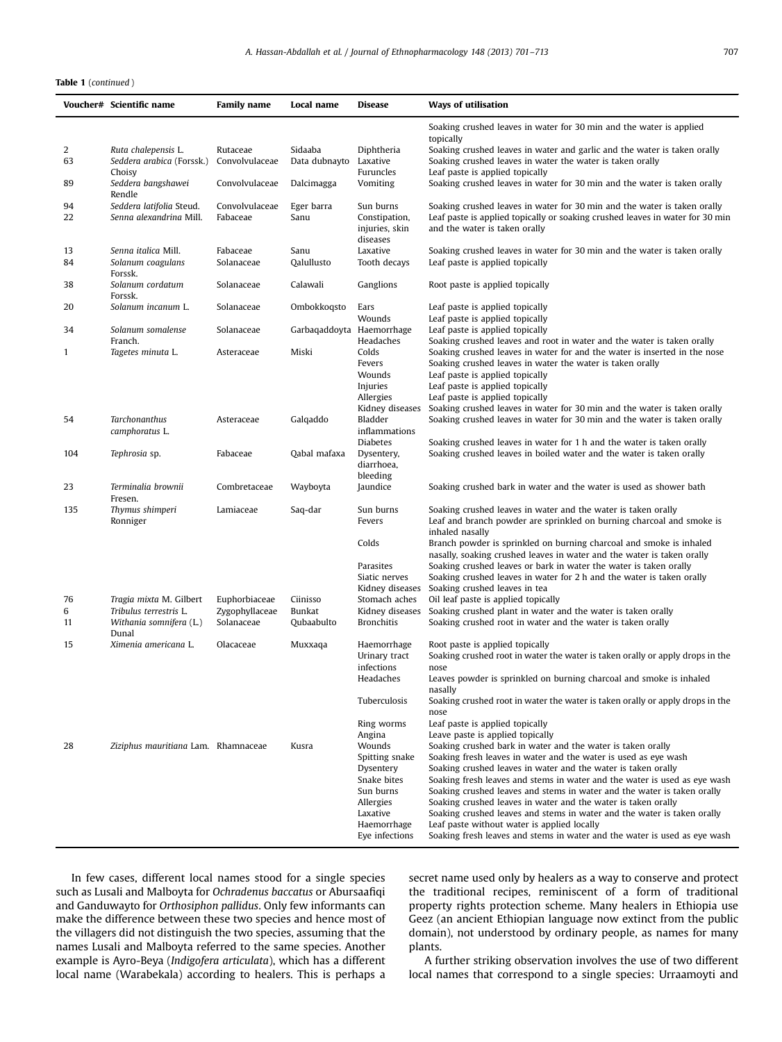Table 1 (continued )

|              | Voucher# Scientific name                                   | <b>Family name</b>                                     | Local name                  | <b>Disease</b>                                                                                                     | <b>Ways of utilisation</b>                                                                                                                                                                                                                                                                                                                                                                                                                                                                                                                                                 |
|--------------|------------------------------------------------------------|--------------------------------------------------------|-----------------------------|--------------------------------------------------------------------------------------------------------------------|----------------------------------------------------------------------------------------------------------------------------------------------------------------------------------------------------------------------------------------------------------------------------------------------------------------------------------------------------------------------------------------------------------------------------------------------------------------------------------------------------------------------------------------------------------------------------|
|              |                                                            |                                                        |                             |                                                                                                                    | Soaking crushed leaves in water for 30 min and the water is applied<br>topically                                                                                                                                                                                                                                                                                                                                                                                                                                                                                           |
| 2<br>63      | Ruta chalepensis L.<br>Seddera arabica (Forssk.)<br>Choisy | Sidaaba<br>Rutaceae<br>Convolvulaceae<br>Data dubnayto |                             | Diphtheria<br>Laxative<br>Furuncles                                                                                | Soaking crushed leaves in water and garlic and the water is taken orally<br>Soaking crushed leaves in water the water is taken orally<br>Leaf paste is applied topically                                                                                                                                                                                                                                                                                                                                                                                                   |
| 89           | Seddera bangshawei<br>Rendle                               | Convolvulaceae                                         | Dalcimagga                  | Vomiting                                                                                                           | Soaking crushed leaves in water for 30 min and the water is taken orally                                                                                                                                                                                                                                                                                                                                                                                                                                                                                                   |
| 94<br>22     | Seddera latifolia Steud.<br>Senna alexandrina Mill.        | Convolvulaceae<br>Fabaceae                             | Eger barra<br>Sanu          | Sun burns<br>Constipation,<br>injuries, skin<br>diseases                                                           | Soaking crushed leaves in water for 30 min and the water is taken orally<br>Leaf paste is applied topically or soaking crushed leaves in water for 30 min<br>and the water is taken orally                                                                                                                                                                                                                                                                                                                                                                                 |
| 13<br>84     | Senna italica Mill.<br>Solanum coagulans<br>Forssk.        | Fabaceae<br>Solanaceae                                 | Sanu<br>Qalullusto          | Laxative<br>Tooth decays                                                                                           | Soaking crushed leaves in water for 30 min and the water is taken orally<br>Leaf paste is applied topically                                                                                                                                                                                                                                                                                                                                                                                                                                                                |
| 38           | Solanum cordatum<br>Forssk.                                | Solanaceae                                             | Calawali                    | Ganglions                                                                                                          | Root paste is applied topically                                                                                                                                                                                                                                                                                                                                                                                                                                                                                                                                            |
| 20           | Solanum incanum L.                                         | Solanaceae                                             | Ombokkogsto                 | Ears<br>Wounds                                                                                                     | Leaf paste is applied topically<br>Leaf paste is applied topically                                                                                                                                                                                                                                                                                                                                                                                                                                                                                                         |
| 34           | Solanum somalense<br>Franch.                               | Solanaceae                                             | Garbaqaddoyta Haemorrhage   | Headaches                                                                                                          | Leaf paste is applied topically<br>Soaking crushed leaves and root in water and the water is taken orally                                                                                                                                                                                                                                                                                                                                                                                                                                                                  |
| $\mathbf{1}$ | Tagetes minuta L.                                          | Asteraceae                                             | Miski                       | Colds<br>Fevers<br>Wounds<br>Injuries<br>Allergies<br>Kidney diseases                                              | Soaking crushed leaves in water for and the water is inserted in the nose<br>Soaking crushed leaves in water the water is taken orally<br>Leaf paste is applied topically<br>Leaf paste is applied topically<br>Leaf paste is applied topically<br>Soaking crushed leaves in water for 30 min and the water is taken orally                                                                                                                                                                                                                                                |
| 54           | Tarchonanthus<br>camphoratus L.                            | Asteraceae                                             | Galqaddo                    | Bladder<br>inflammations<br><b>Diabetes</b>                                                                        | Soaking crushed leaves in water for 30 min and the water is taken orally                                                                                                                                                                                                                                                                                                                                                                                                                                                                                                   |
| 104          | Tephrosia sp.                                              | Fabaceae                                               | Qabal mafaxa                | Dysentery,<br>diarrhoea,                                                                                           | Soaking crushed leaves in water for 1 h and the water is taken orally<br>Soaking crushed leaves in boiled water and the water is taken orally                                                                                                                                                                                                                                                                                                                                                                                                                              |
| 23           | Terminalia brownii<br>Fresen.                              | Combretaceae                                           | Wayboyta                    | bleeding<br>Jaundice                                                                                               | Soaking crushed bark in water and the water is used as shower bath                                                                                                                                                                                                                                                                                                                                                                                                                                                                                                         |
| 135          | Thymus shimperi<br>Ronniger                                | Lamiaceae                                              | Saq-dar                     | Sun burns<br>Fevers                                                                                                | Soaking crushed leaves in water and the water is taken orally<br>Leaf and branch powder are sprinkled on burning charcoal and smoke is<br>inhaled nasally                                                                                                                                                                                                                                                                                                                                                                                                                  |
| 76           | Tragia mixta M. Gilbert                                    | Euphorbiaceae                                          | Ciinisso                    | Colds<br>Parasites<br>Siatic nerves<br>Kidney diseases<br>Stomach aches                                            | Branch powder is sprinkled on burning charcoal and smoke is inhaled<br>nasally, soaking crushed leaves in water and the water is taken orally<br>Soaking crushed leaves or bark in water the water is taken orally<br>Soaking crushed leaves in water for 2 h and the water is taken orally<br>Soaking crushed leaves in tea<br>Oil leaf paste is applied topically                                                                                                                                                                                                        |
| 6<br>11      | Tribulus terrestris L.<br>Withania somnifera (L.)<br>Dunal | Zygophyllaceae<br>Solanaceae                           | <b>Bunkat</b><br>Qubaabulto | Kidney diseases<br><b>Bronchitis</b>                                                                               | Soaking crushed plant in water and the water is taken orally<br>Soaking crushed root in water and the water is taken orally                                                                                                                                                                                                                                                                                                                                                                                                                                                |
| 15           | Ximenia americana L.                                       | Olacaceae                                              | Muxxaqa                     | Haemorrhage<br>Urinary tract<br>infections<br>Headaches                                                            | Root paste is applied topically<br>Soaking crushed root in water the water is taken orally or apply drops in the<br>nose<br>Leaves powder is sprinkled on burning charcoal and smoke is inhaled<br>nasally                                                                                                                                                                                                                                                                                                                                                                 |
|              |                                                            |                                                        |                             | Tuberculosis                                                                                                       | Soaking crushed root in water the water is taken orally or apply drops in the<br>nose                                                                                                                                                                                                                                                                                                                                                                                                                                                                                      |
| 28           | Ziziphus mauritiana Lam. Rhamnaceae                        |                                                        | Kusra                       | Ring worms<br>Angina<br>Wounds<br>Spitting snake<br>Dysentery<br>Snake bites<br>Sun burns<br>Allergies<br>Laxative | Leaf paste is applied topically<br>Leave paste is applied topically<br>Soaking crushed bark in water and the water is taken orally<br>Soaking fresh leaves in water and the water is used as eye wash<br>Soaking crushed leaves in water and the water is taken orally<br>Soaking fresh leaves and stems in water and the water is used as eye wash<br>Soaking crushed leaves and stems in water and the water is taken orally<br>Soaking crushed leaves in water and the water is taken orally<br>Soaking crushed leaves and stems in water and the water is taken orally |
|              |                                                            |                                                        |                             | Haemorrhage<br>Eye infections                                                                                      | Leaf paste without water is applied locally<br>Soaking fresh leaves and stems in water and the water is used as eye wash                                                                                                                                                                                                                                                                                                                                                                                                                                                   |

In few cases, different local names stood for a single species such as Lusali and Malboyta for Ochradenus baccatus or Abursaafiqi and Ganduwayto for Orthosiphon pallidus. Only few informants can make the difference between these two species and hence most of the villagers did not distinguish the two species, assuming that the names Lusali and Malboyta referred to the same species. Another example is Ayro-Beya (Indigofera articulata), which has a different local name (Warabekala) according to healers. This is perhaps a

secret name used only by healers as a way to conserve and protect the traditional recipes, reminiscent of a form of traditional property rights protection scheme. Many healers in Ethiopia use Geez (an ancient Ethiopian language now extinct from the public domain), not understood by ordinary people, as names for many plants.

A further striking observation involves the use of two different local names that correspond to a single species: Urraamoyti and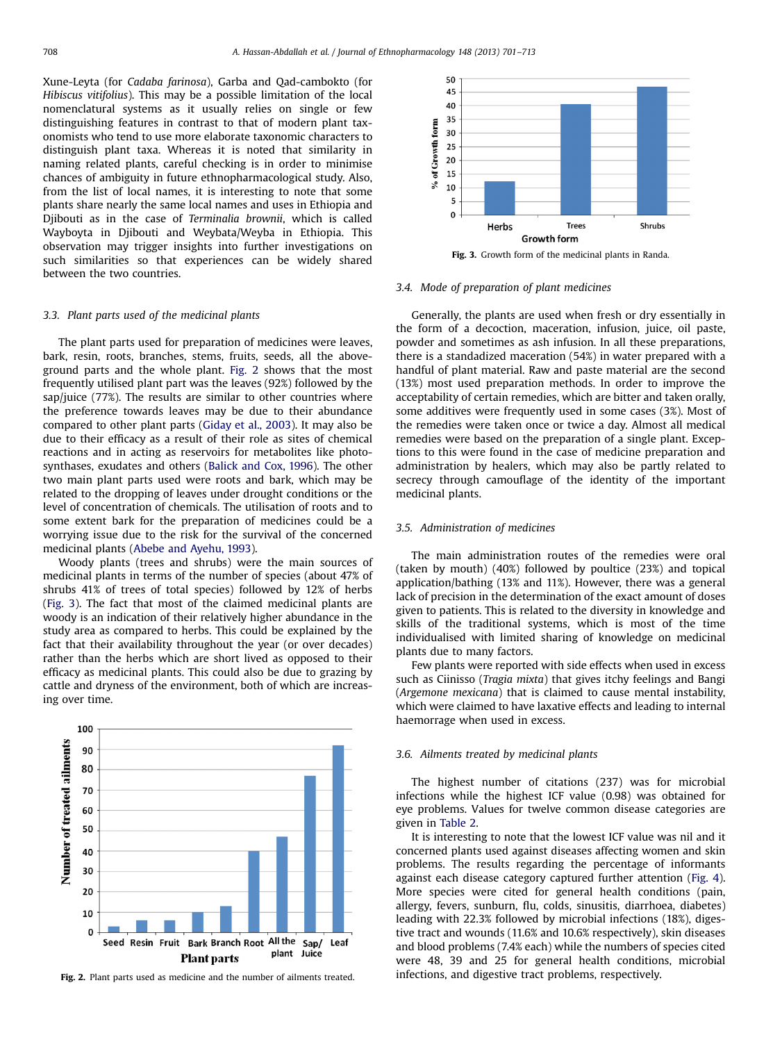Xune-Leyta (for Cadaba farinosa), Garba and Qad-cambokto (for Hibiscus vitifolius). This may be a possible limitation of the local nomenclatural systems as it usually relies on single or few distinguishing features in contrast to that of modern plant taxonomists who tend to use more elaborate taxonomic characters to distinguish plant taxa. Whereas it is noted that similarity in naming related plants, careful checking is in order to minimise chances of ambiguity in future ethnopharmacological study. Also, from the list of local names, it is interesting to note that some plants share nearly the same local names and uses in Ethiopia and Diibouti as in the case of Terminalia brownii, which is called Wayboyta in Diibouti and Weybata/Weyba in Ethiopia. This observation may trigger insights into further investigations on such similarities so that experiences can be widely shared between the two countries.

#### 3.3. Plant parts used of the medicinal plants

The plant parts used for preparation of medicines were leaves, bark, resin, roots, branches, stems, fruits, seeds, all the aboveground parts and the whole plant. Fig. 2 shows that the most frequently utilised plant part was the leaves (92%) followed by the sap/juice (77%). The results are similar to other countries where the preference towards leaves may be due to their abundance compared to other plant parts ([Giday et al., 2003\)](#page-11-0). It may also be due to their efficacy as a result of their role as sites of chemical reactions and in acting as reservoirs for metabolites like photosynthases, exudates and others ([Balick and Cox, 1996](#page-11-0)). The other two main plant parts used were roots and bark, which may be related to the dropping of leaves under drought conditions or the level of concentration of chemicals. The utilisation of roots and to some extent bark for the preparation of medicines could be a worrying issue due to the risk for the survival of the concerned medicinal plants ([Abebe and Ayehu, 1993](#page-11-0)).

Woody plants (trees and shrubs) were the main sources of medicinal plants in terms of the number of species (about 47% of shrubs 41% of trees of total species) followed by 12% of herbs (Fig. 3). The fact that most of the claimed medicinal plants are woody is an indication of their relatively higher abundance in the study area as compared to herbs. This could be explained by the fact that their availability throughout the year (or over decades) rather than the herbs which are short lived as opposed to their efficacy as medicinal plants. This could also be due to grazing by cattle and dryness of the environment, both of which are increasing over time.





Fig. 3. Growth form of the medicinal plants in Randa.

#### 3.4. Mode of preparation of plant medicines

Generally, the plants are used when fresh or dry essentially in the form of a decoction, maceration, infusion, juice, oil paste, powder and sometimes as ash infusion. In all these preparations, there is a standadized maceration (54%) in water prepared with a handful of plant material. Raw and paste material are the second (13%) most used preparation methods. In order to improve the acceptability of certain remedies, which are bitter and taken orally, some additives were frequently used in some cases (3%). Most of the remedies were taken once or twice a day. Almost all medical remedies were based on the preparation of a single plant. Exceptions to this were found in the case of medicine preparation and administration by healers, which may also be partly related to secrecy through camouflage of the identity of the important medicinal plants.

#### 3.5. Administration of medicines

The main administration routes of the remedies were oral (taken by mouth) (40%) followed by poultice (23%) and topical application/bathing (13% and 11%). However, there was a general lack of precision in the determination of the exact amount of doses given to patients. This is related to the diversity in knowledge and skills of the traditional systems, which is most of the time individualised with limited sharing of knowledge on medicinal plants due to many factors.

Few plants were reported with side effects when used in excess such as Ciinisso (Tragia mixta) that gives itchy feelings and Bangi (Argemone mexicana) that is claimed to cause mental instability, which were claimed to have laxative effects and leading to internal haemorrage when used in excess.

#### 3.6. Ailments treated by medicinal plants

The highest number of citations (237) was for microbial infections while the highest ICF value (0.98) was obtained for eye problems. Values for twelve common disease categories are given in [Table 2.](#page-8-0)

It is interesting to note that the lowest ICF value was nil and it concerned plants used against diseases affecting women and skin problems. The results regarding the percentage of informants against each disease category captured further attention ([Fig. 4\)](#page-8-0). More species were cited for general health conditions (pain, allergy, fevers, sunburn, flu, colds, sinusitis, diarrhoea, diabetes) leading with 22.3% followed by microbial infections (18%), digestive tract and wounds (11.6% and 10.6% respectively), skin diseases and blood problems (7.4% each) while the numbers of species cited were 48, 39 and 25 for general health conditions, microbial Fig. 2. Plant parts used as medicine and the number of ailments treated. Fig. 2. Plant parts used as medicine and the number of ailments treated. Fig. 2. Plant parts used as medicine and the number of ailments treated.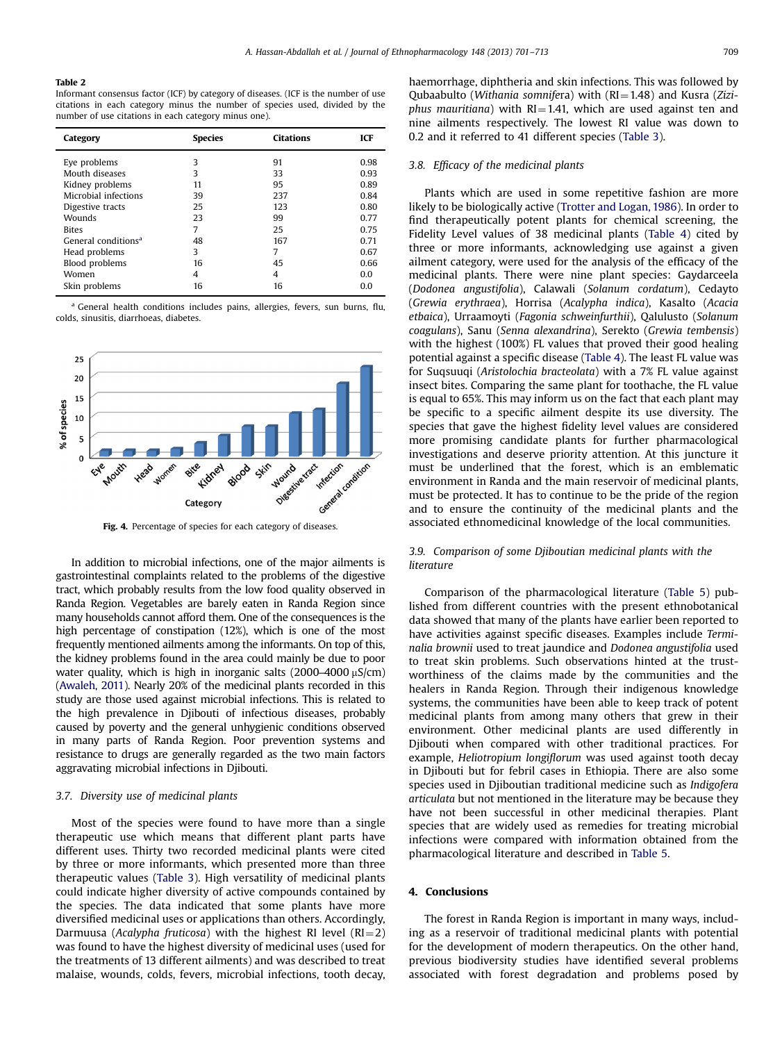#### <span id="page-8-0"></span>Table 2

Informant consensus factor (ICF) by category of diseases. (ICF is the number of use citations in each category minus the number of species used, divided by the number of use citations in each category minus one).

| Category                        | <b>Species</b> | <b>Citations</b> | <b>ICF</b> |
|---------------------------------|----------------|------------------|------------|
| Eye problems                    | 3              | 91               | 0.98       |
| Mouth diseases                  | 3              | 33               | 0.93       |
| Kidney problems                 | 11             | 95               | 0.89       |
| Microbial infections            | 39             | 237              | 0.84       |
| Digestive tracts                | 25             | 123              | 0.80       |
| Wounds                          | 23             | 99               | 0.77       |
| <b>Bites</b>                    | 7              | 25               | 0.75       |
| General conditions <sup>a</sup> | 48             | 167              | 0.71       |
| Head problems                   | 3              | 7                | 0.67       |
| Blood problems                  | 16             | 45               | 0.66       |
| Women                           | 4              | 4                | 0.0        |
| Skin problems                   | 16             | 16               | 0.0        |

<sup>a</sup> General health conditions includes pains, allergies, fevers, sun burns, flu, colds, sinusitis, diarrhoeas, diabetes.



Fig. 4. Percentage of species for each category of diseases.

In addition to microbial infections, one of the major ailments is gastrointestinal complaints related to the problems of the digestive tract, which probably results from the low food quality observed in Randa Region. Vegetables are barely eaten in Randa Region since many households cannot afford them. One of the consequences is the high percentage of constipation (12%), which is one of the most frequently mentioned ailments among the informants. On top of this, the kidney problems found in the area could mainly be due to poor water quality, which is high in inorganic salts (2000–4000  $\mu$ S/cm) [\(Awaleh, 2011](#page-11-0)). Nearly 20% of the medicinal plants recorded in this study are those used against microbial infections. This is related to the high prevalence in Djibouti of infectious diseases, probably caused by poverty and the general unhygienic conditions observed in many parts of Randa Region. Poor prevention systems and resistance to drugs are generally regarded as the two main factors aggravating microbial infections in Djibouti.

# 3.7. Diversity use of medicinal plants

Most of the species were found to have more than a single therapeutic use which means that different plant parts have different uses. Thirty two recorded medicinal plants were cited by three or more informants, which presented more than three therapeutic values ([Table 3\)](#page-9-0). High versatility of medicinal plants could indicate higher diversity of active compounds contained by the species. The data indicated that some plants have more diversified medicinal uses or applications than others. Accordingly, Darmuusa (Acalypha fruticosa) with the highest RI level ( $RI=2$ ) was found to have the highest diversity of medicinal uses (used for the treatments of 13 different ailments) and was described to treat malaise, wounds, colds, fevers, microbial infections, tooth decay, haemorrhage, diphtheria and skin infections. This was followed by Qubaabulto (Withania somnifera) with  $(RI=1.48)$  and Kusra (Ziziphus mauritiana) with  $RI = 1.41$ , which are used against ten and nine ailments respectively. The lowest RI value was down to 0.2 and it referred to 41 different species ([Table 3](#page-9-0)).

#### 3.8. Efficacy of the medicinal plants

Plants which are used in some repetitive fashion are more likely to be biologically active [\(Trotter and Logan, 1986\)](#page-12-0). In order to find therapeutically potent plants for chemical screening, the Fidelity Level values of 38 medicinal plants [\(Table 4](#page-9-0)) cited by three or more informants, acknowledging use against a given ailment category, were used for the analysis of the efficacy of the medicinal plants. There were nine plant species: Gaydarceela (Dodonea angustifolia), Calawali (Solanum cordatum), Cedayto (Grewia erythraea), Horrisa (Acalypha indica), Kasalto (Acacia etbaica), Urraamoyti (Fagonia schweinfurthii), Qalulusto (Solanum coagulans), Sanu (Senna alexandrina), Serekto (Grewia tembensis) with the highest (100%) FL values that proved their good healing potential against a specific disease ([Table 4](#page-9-0)). The least FL value was for Suqsuuqi (Aristolochia bracteolata) with a 7% FL value against insect bites. Comparing the same plant for toothache, the FL value is equal to 65%. This may inform us on the fact that each plant may be specific to a specific ailment despite its use diversity. The species that gave the highest fidelity level values are considered more promising candidate plants for further pharmacological investigations and deserve priority attention. At this juncture it must be underlined that the forest, which is an emblematic environment in Randa and the main reservoir of medicinal plants, must be protected. It has to continue to be the pride of the region and to ensure the continuity of the medicinal plants and the associated ethnomedicinal knowledge of the local communities.

# 3.9. Comparison of some Djiboutian medicinal plants with the literature

Comparison of the pharmacological literature [\(Table 5\)](#page-10-0) published from different countries with the present ethnobotanical data showed that many of the plants have earlier been reported to have activities against specific diseases. Examples include Terminalia brownii used to treat jaundice and Dodonea angustifolia used to treat skin problems. Such observations hinted at the trustworthiness of the claims made by the communities and the healers in Randa Region. Through their indigenous knowledge systems, the communities have been able to keep track of potent medicinal plants from among many others that grew in their environment. Other medicinal plants are used differently in Djibouti when compared with other traditional practices. For example, Heliotropium longiflorum was used against tooth decay in Djibouti but for febril cases in Ethiopia. There are also some species used in Djiboutian traditional medicine such as Indigofera articulata but not mentioned in the literature may be because they have not been successful in other medicinal therapies. Plant species that are widely used as remedies for treating microbial infections were compared with information obtained from the pharmacological literature and described in [Table 5.](#page-10-0)

#### 4. Conclusions

The forest in Randa Region is important in many ways, including as a reservoir of traditional medicinal plants with potential for the development of modern therapeutics. On the other hand, previous biodiversity studies have identified several problems associated with forest degradation and problems posed by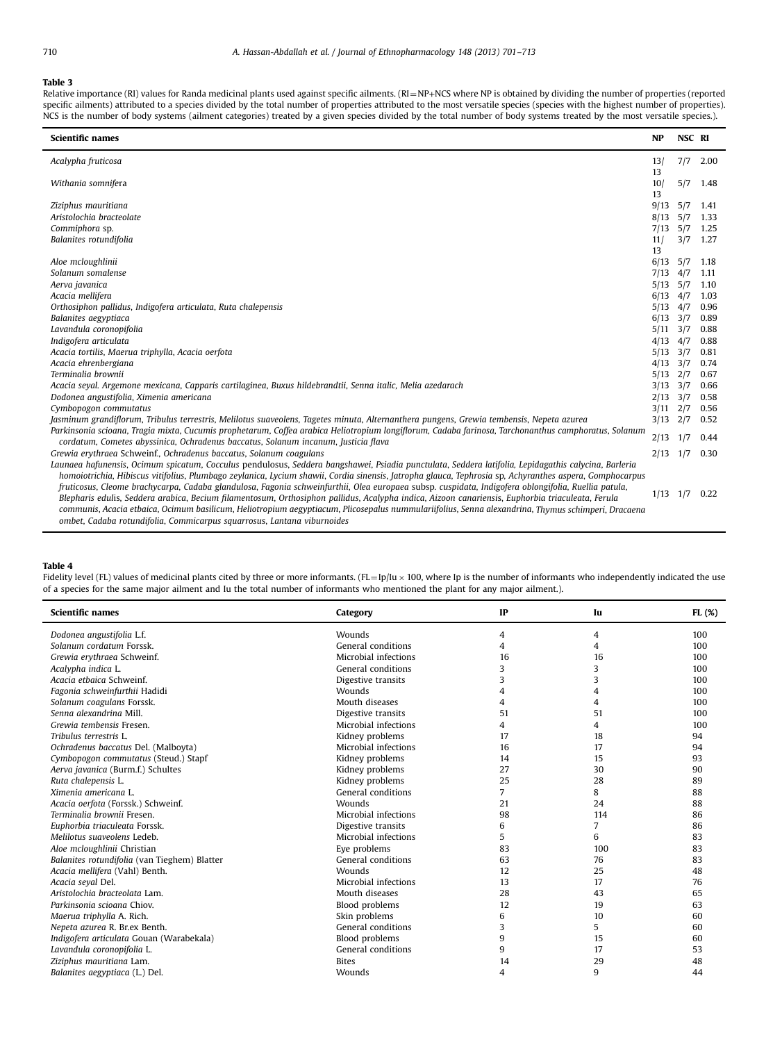J

#### <span id="page-9-0"></span>Table 3

Relative importance (RI) values for Randa medicinal plants used against specific ailments. (RI=NP+NCS where NP is obtained by dividing the number of properties (reported specific ailments) attributed to a species divided by the total number of properties attributed to the most versatile species (species with the highest number of properties). NCS is the number of body systems (ailment categories) treated by a given species divided by the total number of body systems treated by the most versatile species.).

| <b>Scientific names</b>                                                                                                                                                                                                                                                                                                                                                                                                                                                                                                                                                                                                                                                                                                                                                                                                                                     | NP           | <b>NSC RI</b>     |      |
|-------------------------------------------------------------------------------------------------------------------------------------------------------------------------------------------------------------------------------------------------------------------------------------------------------------------------------------------------------------------------------------------------------------------------------------------------------------------------------------------------------------------------------------------------------------------------------------------------------------------------------------------------------------------------------------------------------------------------------------------------------------------------------------------------------------------------------------------------------------|--------------|-------------------|------|
| Acalypha fruticosa                                                                                                                                                                                                                                                                                                                                                                                                                                                                                                                                                                                                                                                                                                                                                                                                                                          | 13/          | 7/7               | 2.00 |
| Withania somnifera                                                                                                                                                                                                                                                                                                                                                                                                                                                                                                                                                                                                                                                                                                                                                                                                                                          | 13<br>10/    | 5/7               | 1.48 |
|                                                                                                                                                                                                                                                                                                                                                                                                                                                                                                                                                                                                                                                                                                                                                                                                                                                             | 13           |                   |      |
| Ziziphus mauritiana                                                                                                                                                                                                                                                                                                                                                                                                                                                                                                                                                                                                                                                                                                                                                                                                                                         | 9/13         | 5/7               | 1.41 |
| Aristolochia bracteolate                                                                                                                                                                                                                                                                                                                                                                                                                                                                                                                                                                                                                                                                                                                                                                                                                                    | $8/13$ 5/7   |                   | 1.33 |
| Commiphora sp.<br>Balanites rotundifolia                                                                                                                                                                                                                                                                                                                                                                                                                                                                                                                                                                                                                                                                                                                                                                                                                    | 11/          | $7/13$ 5/7<br>3/7 | 1.25 |
|                                                                                                                                                                                                                                                                                                                                                                                                                                                                                                                                                                                                                                                                                                                                                                                                                                                             | 13           |                   | 1.27 |
| Aloe mcloughlinii                                                                                                                                                                                                                                                                                                                                                                                                                                                                                                                                                                                                                                                                                                                                                                                                                                           | $6/13$ $5/7$ |                   | 1.18 |
| Solanum somalense                                                                                                                                                                                                                                                                                                                                                                                                                                                                                                                                                                                                                                                                                                                                                                                                                                           | $7/13$ 4/7   |                   | 1.11 |
| Aerva javanica                                                                                                                                                                                                                                                                                                                                                                                                                                                                                                                                                                                                                                                                                                                                                                                                                                              | $5/13$ $5/7$ |                   | 1.10 |
| Acacia mellifera                                                                                                                                                                                                                                                                                                                                                                                                                                                                                                                                                                                                                                                                                                                                                                                                                                            | $6/13$ 4/7   |                   | 1.03 |
| Orthosiphon pallidus, Indigofera articulata, Ruta chalepensis                                                                                                                                                                                                                                                                                                                                                                                                                                                                                                                                                                                                                                                                                                                                                                                               | $5/13$ 4/7   |                   | 0.96 |
| Balanites aegyptiaca                                                                                                                                                                                                                                                                                                                                                                                                                                                                                                                                                                                                                                                                                                                                                                                                                                        | $6/13$ $3/7$ |                   | 0.89 |
| Lavandula coronopifolia                                                                                                                                                                                                                                                                                                                                                                                                                                                                                                                                                                                                                                                                                                                                                                                                                                     | $5/11$ $3/7$ |                   | 0.88 |
| Indigofera articulata                                                                                                                                                                                                                                                                                                                                                                                                                                                                                                                                                                                                                                                                                                                                                                                                                                       | $4/13$ $4/7$ |                   | 0.88 |
| Acacia tortilis, Maerua triphylla, Acacia oerfota                                                                                                                                                                                                                                                                                                                                                                                                                                                                                                                                                                                                                                                                                                                                                                                                           | $5/13$ $3/7$ |                   | 0.81 |
| Acacia ehrenbergiana                                                                                                                                                                                                                                                                                                                                                                                                                                                                                                                                                                                                                                                                                                                                                                                                                                        | $4/13$ $3/7$ |                   | 0.74 |
| Terminalia brownii                                                                                                                                                                                                                                                                                                                                                                                                                                                                                                                                                                                                                                                                                                                                                                                                                                          | $5/13$ $2/7$ |                   | 0.67 |
| Acacia seyal. Argemone mexicana, Capparis cartilaginea, Buxus hildebrandtii, Senna italic, Melia azedarach                                                                                                                                                                                                                                                                                                                                                                                                                                                                                                                                                                                                                                                                                                                                                  | $3/13$ $3/7$ |                   | 0.66 |
| Dodonea angustifolia, Ximenia americana                                                                                                                                                                                                                                                                                                                                                                                                                                                                                                                                                                                                                                                                                                                                                                                                                     | $2/13$ $3/7$ |                   | 0.58 |
| Cymbopogon commutatus                                                                                                                                                                                                                                                                                                                                                                                                                                                                                                                                                                                                                                                                                                                                                                                                                                       | $3/11$ $2/7$ |                   | 0.56 |
| Jasminum grandiflorum, Tribulus terrestris, Melilotus suaveolens, Tagetes minuta, Alternanthera pungens, Grewia tembensis, Nepeta azurea                                                                                                                                                                                                                                                                                                                                                                                                                                                                                                                                                                                                                                                                                                                    | 3/13         | 2/7               | 0.52 |
| Parkinsonia scioana, Tragia mixta, Cucumis prophetarum, Coffea arabica Heliotropium longiflorum, Cadaba farinosa, Tarchonanthus camphoratus, Solanum                                                                                                                                                                                                                                                                                                                                                                                                                                                                                                                                                                                                                                                                                                        | 2/13         | 1/7               | 0.44 |
| cordatum, Cometes abyssinica, Ochradenus baccatus, Solanum incanum, Justicia flava                                                                                                                                                                                                                                                                                                                                                                                                                                                                                                                                                                                                                                                                                                                                                                          |              |                   |      |
| Grewia erythraea Schweinf., Ochradenus baccatus, Solanum coagulans                                                                                                                                                                                                                                                                                                                                                                                                                                                                                                                                                                                                                                                                                                                                                                                          | $2/13$ $1/7$ |                   | 0.30 |
| Launaea hafunensis, Ocimum spicatum, Cocculus pendulosus, Seddera bangshawei, Psiadia punctulata, Seddera latifolia, Lepidagathis calycina, Barleria<br>homoiotrichia, Hibiscus vitifolius, Plumbago zeylanica, Lycium shawii, Cordia sinensis, Jatropha glauca, Tephrosia sp, Achyranthes aspera, Gomphocarpus<br>fruticosus, Cleome brachycarpa, Cadaba glandulosa, Fagonia schweinfurthii, Olea europaea subsp. cuspidata, Indigofera oblongifolia, Ruellia patula,<br>Blepharis edulis, Seddera arabica, Becium filamentosum, Orthosiphon pallidus, Acalypha indica, Aizoon canariensis, Euphorbia triaculeata, Ferula<br>communis, Acacia etbaica, Ocimum basilicum, Heliotropium aegyptiacum, Plicosepalus nummulariifolius, Senna alexandrina, Thymus schimperi, Dracaena<br>ombet, Cadaba rotundifolia, Commicarpus squarrosus, Lantana viburnoides |              | $1/13$ $1/7$      | 0.22 |

#### Table 4

l,

Fidelity level (FL) values of medicinal plants cited by three or more informants. (FL=Ip/Iu  $\times$  100, where Ip is the number of informants who independently indicated the use of a species for the same major ailment and Iu the total number of informants who mentioned the plant for any major ailment.).

| <b>Scientific names</b>                      | Category              | IP | Iu  | FL(%) |
|----------------------------------------------|-----------------------|----|-----|-------|
| Dodonea angustifolia L.f.                    | Wounds                | 4  | 4   | 100   |
| Solanum cordatum Forssk.                     | General conditions    | 4  | 4   | 100   |
| Grewia erythraea Schweinf.                   | Microbial infections  | 16 | 16  | 100   |
| Acalypha indica L.                           | General conditions    | 3  | 3   | 100   |
| Acacia ethaica Schweinf.                     | Digestive transits    | 3  | 3   | 100   |
| Fagonia schweinfurthii Hadidi                | Wounds                | 4  | 4   | 100   |
| Solanum coagulans Forssk.                    | Mouth diseases        | 4  | 4   | 100   |
| Senna alexandrina Mill.                      | Digestive transits    | 51 | 51  | 100   |
| Grewia tembensis Fresen.                     | Microbial infections  | 4  | 4   | 100   |
| Tribulus terrestris L.                       | Kidney problems       | 17 | 18  | 94    |
| Ochradenus baccatus Del. (Malboyta)          | Microbial infections  | 16 | 17  | 94    |
| Cymbopogon commutatus (Steud.) Stapf         | Kidney problems       | 14 | 15  | 93    |
| Aerva javanica (Burm.f.) Schultes            | Kidney problems       | 27 | 30  | 90    |
| Ruta chalepensis L.                          | Kidney problems       | 25 | 28  | 89    |
| Ximenia americana L.                         | General conditions    | 7  | 8   | 88    |
| Acacia oerfota (Forssk.) Schweinf.           | Wounds                | 21 | 24  | 88    |
| Terminalia brownii Fresen.                   | Microbial infections  | 98 | 114 | 86    |
| Euphorbia triaculeata Forssk.                | Digestive transits    | 6  | 7   | 86    |
| Melilotus suaveolens Ledeb.                  | Microbial infections  | 5  | 6   | 83    |
| Aloe mcloughlinii Christian                  | Eve problems          | 83 | 100 | 83    |
| Balanites rotundifolia (van Tieghem) Blatter | General conditions    | 63 | 76  | 83    |
| Acacia mellifera (Vahl) Benth.               | Wounds                | 12 | 25  | 48    |
| Acacia seval Del.                            | Microbial infections  | 13 | 17  | 76    |
| Aristolochia bracteolata Lam.                | Mouth diseases        | 28 | 43  | 65    |
| Parkinsonia scioana Chiov.                   | <b>Blood problems</b> | 12 | 19  | 63    |
| Maerua triphylla A. Rich.                    | Skin problems         | 6  | 10  | 60    |
| Nepeta azurea R. Br.ex Benth.                | General conditions    | 3  | 5   | 60    |
| Indigofera articulata Gouan (Warabekala)     | Blood problems        | 9  | 15  | 60    |
| Lavandula coronopifolia L.                   | General conditions    | 9  | 17  | 53    |
| Ziziphus mauritiana Lam.                     | <b>Bites</b>          | 14 | 29  | 48    |
| Balanites aegyptiaca (L.) Del.               | Wounds                | 4  | 9   | 44    |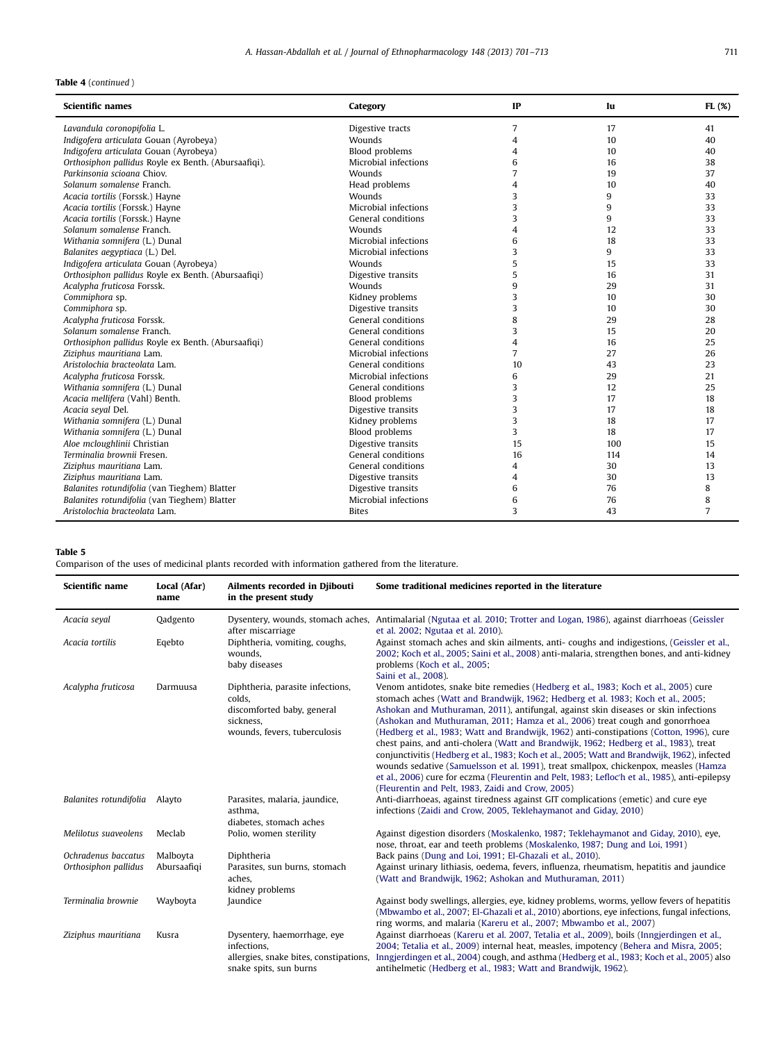# <span id="page-10-0"></span>Table 4 (continued )

| <b>Scientific names</b>                             | Category             | IP | Iu               | FL (%) |
|-----------------------------------------------------|----------------------|----|------------------|--------|
| Lavandula coronopifolia L.                          | Digestive tracts     | 7  | 17               | 41     |
| Indigofera articulata Gouan (Ayrobeya)              | Wounds               | 4  | 10               | 40     |
| Indigofera articulata Gouan (Ayrobeya)              | Blood problems       | 4  | 10               | 40     |
| Orthosiphon pallidus Royle ex Benth. (Abursaafiqi). | Microbial infections | 6  | 16               | 38     |
| Parkinsonia scioana Chiov.                          | <b>Wounds</b>        |    | 19               | 37     |
| Solanum somalense Franch.                           | Head problems        | 4  | 10               | 40     |
| Acacia tortilis (Forssk.) Hayne                     | Wounds               | 3  | 9                | 33     |
| Acacia tortilis (Forssk.) Hayne                     | Microbial infections | 3  | 9                | 33     |
| Acacia tortilis (Forssk.) Hayne                     | General conditions   | 3  | 9                | 33     |
| Solanum somalense Franch.                           | Wounds               | 4  | 12               | 33     |
| Withania somnifera (L.) Dunal                       | Microbial infections | 6  | 18               | 33     |
| Balanites aegyptiaca (L.) Del.                      | Microbial infections | 3  | 9                | 33     |
| Indigofera articulata Gouan (Ayrobeya)              | Wounds               | 5  | 15               | 33     |
| Orthosiphon pallidus Royle ex Benth. (Abursaafiqi)  | Digestive transits   | 5  | 16               | 31     |
| Acalypha fruticosa Forssk.                          | Wounds               | 9  | 29               | 31     |
| Commiphora sp.                                      | Kidney problems      | 3  | 10 <sup>10</sup> | 30     |
| Commiphora sp.                                      | Digestive transits   | 3  | 10               | 30     |
| Acalypha fruticosa Forssk.                          | General conditions   | 8  | 29               | 28     |
| Solanum somalense Franch.                           | General conditions   | 3  | 15               | 20     |
| Orthosiphon pallidus Royle ex Benth. (Abursaafiqi)  | General conditions   | 4  | 16               | 25     |
| Ziziphus mauritiana Lam.                            | Microbial infections | 7  | 27               | 26     |
| Aristolochia bracteolata Lam.                       | General conditions   | 10 | 43               | 23     |
| Acalypha fruticosa Forssk.                          | Microbial infections | 6  | 29               | 21     |
| Withania somnifera (L.) Dunal                       | General conditions   | 3  | 12               | 25     |
| Acacia mellifera (Vahl) Benth.                      | Blood problems       | 3  | 17               | 18     |
| Acacia seyal Del.                                   | Digestive transits   | 3  | 17               | 18     |
| Withania somnifera (L.) Dunal                       | Kidney problems      | 3  | 18               | 17     |
| Withania somnifera (L.) Dunal                       | Blood problems       | 3  | 18               | 17     |
| Aloe mcloughlinii Christian                         | Digestive transits   | 15 | 100              | 15     |
| Terminalia brownii Fresen.                          | General conditions   | 16 | 114              | 14     |
| Ziziphus mauritiana Lam.                            | General conditions   | 4  | 30               | 13     |
| Ziziphus mauritiana Lam.                            | Digestive transits   | 4  | 30               | 13     |
| Balanites rotundifolia (van Tieghem) Blatter        | Digestive transits   | 6  | 76               | 8      |
| Balanites rotundifolia (van Tieghem) Blatter        | Microbial infections | 6  | 76               | 8      |
| Aristolochia bracteolata Lam.                       | <b>Bites</b>         | 3  | 43               | 7      |

Table 5

Comparison of the uses of medicinal plants recorded with information gathered from the literature.

| Scientific name        | Local (Afar)<br>name | Ailments recorded in Djibouti<br>in the present study                                                                 | Some traditional medicines reported in the literature                                                                                                                                                                                                                                                                                                                                                                                                                                                                                                                                                                                                                                                                                                                                                                                                                               |
|------------------------|----------------------|-----------------------------------------------------------------------------------------------------------------------|-------------------------------------------------------------------------------------------------------------------------------------------------------------------------------------------------------------------------------------------------------------------------------------------------------------------------------------------------------------------------------------------------------------------------------------------------------------------------------------------------------------------------------------------------------------------------------------------------------------------------------------------------------------------------------------------------------------------------------------------------------------------------------------------------------------------------------------------------------------------------------------|
| Acacia seyal           | Qadgento             | after miscarriage                                                                                                     | Dysentery, wounds, stomach aches, Antimalarial (Ngutaa et al. 2010; Trotter and Logan, 1986), against diarrhoeas (Geissler<br>et al. 2002; Ngutaa et al. 2010).                                                                                                                                                                                                                                                                                                                                                                                                                                                                                                                                                                                                                                                                                                                     |
| Acacia tortilis        | Eqebto               | Diphtheria, vomiting, coughs,<br>wounds,<br>baby diseases                                                             | Against stomach aches and skin ailments, anti-coughs and indigestions, (Geissler et al.,<br>2002; Koch et al., 2005; Saini et al., 2008) anti-malaria, strengthen bones, and anti-kidney<br>problems (Koch et al., 2005;<br>Saini et al., 2008).                                                                                                                                                                                                                                                                                                                                                                                                                                                                                                                                                                                                                                    |
| Acalypha fruticosa     | Darmuusa             | Diphtheria, parasite infections,<br>colds,<br>discomforted baby, general<br>sickness.<br>wounds, fevers, tuberculosis | Venom antidotes, snake bite remedies (Hedberg et al., 1983; Koch et al., 2005) cure<br>stomach aches (Watt and Brandwijk, 1962; Hedberg et al. 1983; Koch et al., 2005;<br>Ashokan and Muthuraman, 2011), antifungal, against skin diseases or skin infections<br>(Ashokan and Muthuraman, 2011; Hamza et al., 2006) treat cough and gonorrhoea<br>(Hedberg et al., 1983; Watt and Brandwijk, 1962) anti-constipations (Cotton, 1996), cure<br>chest pains, and anti-cholera (Watt and Brandwijk, 1962; Hedberg et al., 1983), treat<br>conjunctivitis (Hedberg et al., 1983; Koch et al., 2005; Watt and Brandwijk, 1962), infected<br>wounds sedative (Samuelsson et al. 1991), treat smallpox, chickenpox, measles (Hamza<br>et al., 2006) cure for eczma (Fleurentin and Pelt, 1983; Lefloc'h et al., 1985), anti-epilepsy<br>(Fleurentin and Pelt, 1983, Zaidi and Crow, 2005) |
| Balanites rotundifolia | Alayto               | Parasites, malaria, jaundice,<br>asthma,<br>diabetes, stomach aches                                                   | Anti-diarrhoeas, against tiredness against GIT complications (emetic) and cure eye<br>infections (Zaidi and Crow, 2005, Teklehaymanot and Giday, 2010)                                                                                                                                                                                                                                                                                                                                                                                                                                                                                                                                                                                                                                                                                                                              |
| Melilotus suaveolens   | Meclab               | Polio, women sterility                                                                                                | Against digestion disorders (Moskalenko, 1987; Teklehaymanot and Giday, 2010), eye,<br>nose, throat, ear and teeth problems (Moskalenko, 1987; Dung and Loi, 1991)                                                                                                                                                                                                                                                                                                                                                                                                                                                                                                                                                                                                                                                                                                                  |
| Ochradenus baccatus    | Malboyta             | Diphtheria                                                                                                            | Back pains (Dung and Loi, 1991; El-Ghazali et al., 2010).                                                                                                                                                                                                                                                                                                                                                                                                                                                                                                                                                                                                                                                                                                                                                                                                                           |
| Orthosiphon pallidus   | Abursaafiqi          | Parasites, sun burns, stomach<br>aches,<br>kidney problems                                                            | Against urinary lithiasis, oedema, fevers, influenza, rheumatism, hepatitis and jaundice<br>(Watt and Brandwijk, 1962; Ashokan and Muthuraman, 2011)                                                                                                                                                                                                                                                                                                                                                                                                                                                                                                                                                                                                                                                                                                                                |
| Terminalia brownie     | Wayboyta             | Jaundice                                                                                                              | Against body swellings, allergies, eye, kidney problems, worms, yellow fevers of hepatitis<br>(Mbwambo et al., 2007; El-Ghazali et al., 2010) abortions, eye infections, fungal infections,<br>ring worms, and malaria (Kareru et al., 2007; Mbwambo et al., 2007)                                                                                                                                                                                                                                                                                                                                                                                                                                                                                                                                                                                                                  |
| Ziziphus mauritiana    | Kusra                | Dysentery, haemorrhage, eye<br>infections,<br>allergies, snake bites, constipations,<br>snake spits, sun burns        | Against diarrhoeas (Kareru et al. 2007, Tetalia et al., 2009), boils (Inngjerdingen et al.,<br>2004; Tetalia et al., 2009) internal heat, measles, impotency (Behera and Misra, 2005;<br>Inngjerdingen et al., 2004) cough, and asthma (Hedberg et al., 1983; Koch et al., 2005) also<br>antihelmetic (Hedberg et al., 1983; Watt and Brandwijk, 1962).                                                                                                                                                                                                                                                                                                                                                                                                                                                                                                                             |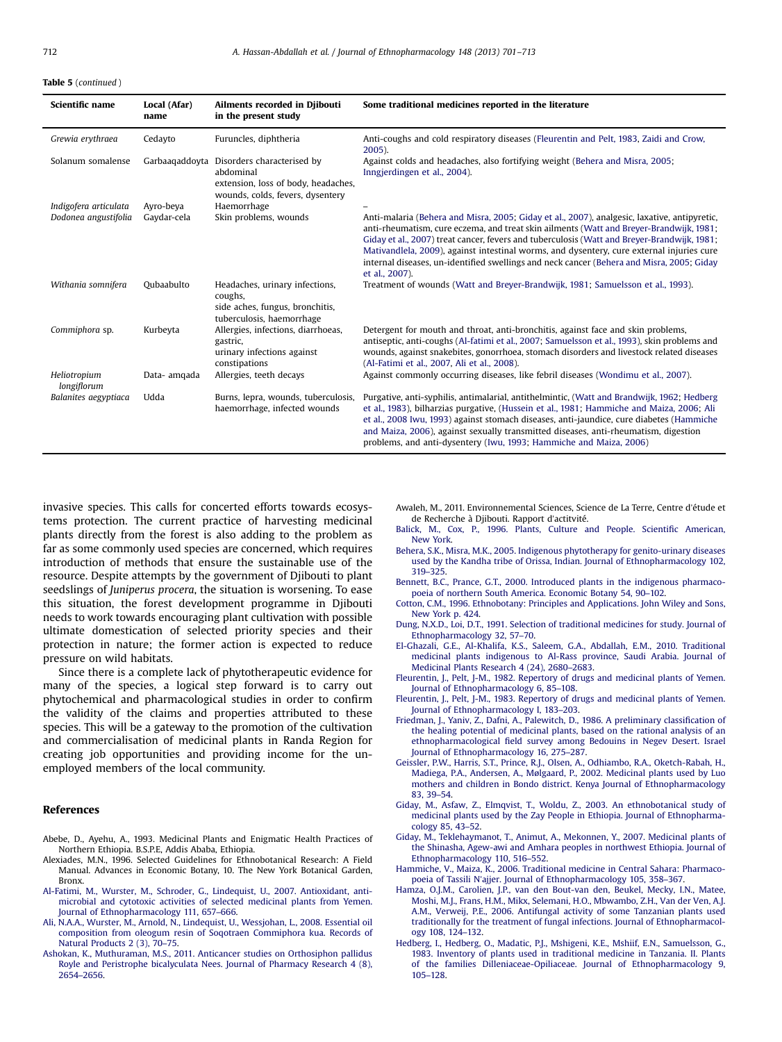#### <span id="page-11-0"></span>Table 5 (continued )

| Scientific name                               | Local (Afar)<br>name     | Ailments recorded in Djibouti<br>in the present study                                                              | Some traditional medicines reported in the literature                                                                                                                                                                                                                                                                                                                                                                                                                                              |
|-----------------------------------------------|--------------------------|--------------------------------------------------------------------------------------------------------------------|----------------------------------------------------------------------------------------------------------------------------------------------------------------------------------------------------------------------------------------------------------------------------------------------------------------------------------------------------------------------------------------------------------------------------------------------------------------------------------------------------|
| Grewia erythraea                              | Cedayto                  | Furuncles, diphtheria                                                                                              | Anti-coughs and cold respiratory diseases (Fleurentin and Pelt, 1983, Zaidi and Crow,<br>$2005$ ).                                                                                                                                                                                                                                                                                                                                                                                                 |
| Solanum somalense                             | Garbaaqaddoyta           | Disorders characterised by<br>abdominal<br>extension, loss of body, headaches,<br>wounds, colds, fevers, dysentery | Against colds and headaches, also fortifying weight (Behera and Misra, 2005;<br>Inngjerdingen et al., 2004).                                                                                                                                                                                                                                                                                                                                                                                       |
| Indigofera articulata<br>Dodonea angustifolia | Ayro-beya<br>Gaydar-cela | Haemorrhage<br>Skin problems, wounds                                                                               | Anti-malaria (Behera and Misra, 2005; Giday et al., 2007), analgesic, laxative, antipyretic,<br>anti-rheumatism, cure eczema, and treat skin ailments (Watt and Breyer-Brandwijk, 1981;<br>Giday et al., 2007) treat cancer, fevers and tuberculosis (Watt and Breyer-Brandwijk, 1981;<br>Mativandlela, 2009), against intestinal worms, and dysentery, cure external injuries cure<br>internal diseases, un-identified swellings and neck cancer (Behera and Misra, 2005; Giday<br>et al., 2007). |
| Withania somnifera                            | Oubaabulto               | Headaches, urinary infections,<br>coughs,<br>side aches, fungus, bronchitis,<br>tuberculosis, haemorrhage          | Treatment of wounds (Watt and Brever-Brandwijk, 1981; Samuelsson et al., 1993).                                                                                                                                                                                                                                                                                                                                                                                                                    |
| Commiphora sp.                                | Kurbeyta                 | Allergies, infections, diarrhoeas,<br>gastric,<br>urinary infections against<br>constipations                      | Detergent for mouth and throat, anti-bronchitis, against face and skin problems,<br>antiseptic, anti-coughs (Al-fatimi et al., 2007; Samuelsson et al., 1993), skin problems and<br>wounds, against snakebites, gonorrhoea, stomach disorders and livestock related diseases<br>(Al-Fatimi et al., 2007, Ali et al., 2008).                                                                                                                                                                        |
| Heliotropium<br>longiflorum                   | Data- amgada             | Allergies, teeth decays                                                                                            | Against commonly occurring diseases, like febril diseases (Wondimu et al., 2007).                                                                                                                                                                                                                                                                                                                                                                                                                  |
| Balanites aegyptiaca                          | Udda                     | Burns, lepra, wounds, tuberculosis,<br>haemorrhage, infected wounds                                                | Purgative, anti-syphilis, antimalarial, antithelmintic, (Watt and Brandwijk, 1962; Hedberg<br>et al., 1983), bilharzias purgative, (Hussein et al., 1981; Hammiche and Maiza, 2006; Ali<br>et al., 2008 Iwu, 1993) against stomach diseases, anti-jaundice, cure diabetes (Hammiche<br>and Maiza, 2006), against sexually transmitted diseases, anti-rheumatism, digestion<br>problems, and anti-dysentery (Iwu, 1993; Hammiche and Maiza, 2006)                                                   |

invasive species. This calls for concerted efforts towards ecosystems protection. The current practice of harvesting medicinal plants directly from the forest is also adding to the problem as far as some commonly used species are concerned, which requires introduction of methods that ensure the sustainable use of the resource. Despite attempts by the government of Djibouti to plant seedslings of Juniperus procera, the situation is worsening. To ease this situation, the forest development programme in Djibouti needs to work towards encouraging plant cultivation with possible ultimate domestication of selected priority species and their protection in nature; the former action is expected to reduce pressure on wild habitats.

Since there is a complete lack of phytotherapeutic evidence for many of the species, a logical step forward is to carry out phytochemical and pharmacological studies in order to confirm the validity of the claims and properties attributed to these species. This will be a gateway to the promotion of the cultivation and commercialisation of medicinal plants in Randa Region for creating job opportunities and providing income for the unemployed members of the local community.

## References

- Abebe, D., Ayehu, A., 1993. Medicinal Plants and Enigmatic Health Practices of Northern Ethiopia. B.S.P.E, Addis Ababa, Ethiopia.
- Alexiades, M.N., 1996. Selected Guidelines for Ethnobotanical Research: A Field Manual. Advances in Economic Botany, 10. The New York Botanical Garden, Bronx.
- [Al-Fatimi, M., Wurster, M., Schroder, G., Lindequist, U., 2007. Antioxidant, anti](http://refhub.elsevier.com/S0378-8741(13)00369-3/sbref1)[microbial and cytotoxic activities of selected medicinal plants from Yemen.](http://refhub.elsevier.com/S0378-8741(13)00369-3/sbref1) [Journal of Ethnopharmacology 111, 657](http://refhub.elsevier.com/S0378-8741(13)00369-3/sbref1)–666.
- [Ali, N.A.A., Wurster, M., Arnold, N., Lindequist, U., Wessjohan, L., 2008. Essential oil](http://refhub.elsevier.com/S0378-8741(13)00369-3/sbref2) [composition from oleogum resin of Soqotraen Commiphora kua. Records of](http://refhub.elsevier.com/S0378-8741(13)00369-3/sbref2) [Natural Products 2 \(3\), 70](http://refhub.elsevier.com/S0378-8741(13)00369-3/sbref2)–75.
- [Ashokan, K., Muthuraman, M.S., 2011. Anticancer studies on Orthosiphon pallidus](http://refhub.elsevier.com/S0378-8741(13)00369-3/sbref3) [Royle and Peristrophe bicalyculata Nees. Journal of Pharmacy Research 4 \(8\),](http://refhub.elsevier.com/S0378-8741(13)00369-3/sbref3) 2654–[2656.](http://refhub.elsevier.com/S0378-8741(13)00369-3/sbref3)

Awaleh, M., 2011. Environnemental Sciences, Science de La Terre, Centre d'étude et de Recherche à Djibouti. Rapport d'actitvité.

- [Balick, M., Cox, P., 1996. Plants, Culture and People. Scienti](http://refhub.elsevier.com/S0378-8741(13)00369-3/sbref4)fic American, [New York.](http://refhub.elsevier.com/S0378-8741(13)00369-3/sbref4)
- [Behera, S.K., Misra, M.K., 2005. Indigenous phytotherapy for genito-urinary diseases](http://refhub.elsevier.com/S0378-8741(13)00369-3/sbref5) [used by the Kandha tribe of Orissa, Indian. Journal of Ethnopharmacology 102,](http://refhub.elsevier.com/S0378-8741(13)00369-3/sbref5) 319–[325.](http://refhub.elsevier.com/S0378-8741(13)00369-3/sbref5)
- [Bennett, B.C., Prance, G.T., 2000. Introduced plants in the indigenous pharmaco](http://refhub.elsevier.com/S0378-8741(13)00369-3/sbref6)[poeia of northern South America. Economic Botany 54, 90](http://refhub.elsevier.com/S0378-8741(13)00369-3/sbref6)–102.
- [Cotton, C.M., 1996. Ethnobotany: Principles and Applications. John Wiley and Sons,](http://refhub.elsevier.com/S0378-8741(13)00369-3/sbref7) [New York p. 424.](http://refhub.elsevier.com/S0378-8741(13)00369-3/sbref7)
- [Dung, N.X.D., Loi, D.T., 1991. Selection of traditional medicines for study. Journal of](http://refhub.elsevier.com/S0378-8741(13)00369-3/sbref8) [Ethnopharmacology 32, 57](http://refhub.elsevier.com/S0378-8741(13)00369-3/sbref8)–70.
- [El-Ghazali, G.E., Al-Khalifa, K.S., Saleem, G.A., Abdallah, E.M., 2010. Traditional](http://refhub.elsevier.com/S0378-8741(13)00369-3/sbref9) [medicinal plants indigenous to Al-Rass province, Saudi Arabia. Journal of](http://refhub.elsevier.com/S0378-8741(13)00369-3/sbref9) [Medicinal Plants Research 4 \(24\), 2680](http://refhub.elsevier.com/S0378-8741(13)00369-3/sbref9)–2683.
- [Fleurentin, J., Pelt, J-M., 1982. Repertory of drugs and medicinal plants of Yemen.](http://refhub.elsevier.com/S0378-8741(13)00369-3/sbref10) [Journal of Ethnopharmacology 6, 85](http://refhub.elsevier.com/S0378-8741(13)00369-3/sbref10)–108.
- [Fleurentin, J., Pelt, J-M., 1983. Repertory of drugs and medicinal plants of Yemen.](http://refhub.elsevier.com/S0378-8741(13)00369-3/sbref11) [Journal of Ethnopharmacology I, 183](http://refhub.elsevier.com/S0378-8741(13)00369-3/sbref11)–203.
- [Friedman, J., Yaniv, Z., Dafni, A., Palewitch, D., 1986. A preliminary classi](http://refhub.elsevier.com/S0378-8741(13)00369-3/sbref12)fication of [the healing potential of medicinal plants, based on the rational analysis of an](http://refhub.elsevier.com/S0378-8741(13)00369-3/sbref12) ethnopharmacological fi[eld survey among Bedouins in Negev Desert. Israel](http://refhub.elsevier.com/S0378-8741(13)00369-3/sbref12) [Journal of Ethnopharmacology 16, 275](http://refhub.elsevier.com/S0378-8741(13)00369-3/sbref12)–287.
- [Geissler, P.W., Harris, S.T., Prince, R.J., Olsen, A., Odhiambo, R.A., Oketch-Rabah, H.,](http://refhub.elsevier.com/S0378-8741(13)00369-3/sbref13) [Madiega, P.A., Andersen, A., Mølgaard, P., 2002. Medicinal plants used by Luo](http://refhub.elsevier.com/S0378-8741(13)00369-3/sbref13) [mothers and children in Bondo district. Kenya Journal of Ethnopharmacology](http://refhub.elsevier.com/S0378-8741(13)00369-3/sbref13) [83, 39](http://refhub.elsevier.com/S0378-8741(13)00369-3/sbref13)–54.
- [Giday, M., Asfaw, Z., Elmqvist, T., Woldu, Z., 2003. An ethnobotanical study of](http://refhub.elsevier.com/S0378-8741(13)00369-3/sbref14) [medicinal plants used by the Zay People in Ethiopia. Journal of Ethnopharma](http://refhub.elsevier.com/S0378-8741(13)00369-3/sbref14)[cology 85, 43](http://refhub.elsevier.com/S0378-8741(13)00369-3/sbref14)–52.
- [Giday, M., Teklehaymanot, T., Animut, A., Mekonnen, Y., 2007. Medicinal plants of](http://refhub.elsevier.com/S0378-8741(13)00369-3/sbref15) [the Shinasha, Agew-awi and Amhara peoples in northwest Ethiopia. Journal of](http://refhub.elsevier.com/S0378-8741(13)00369-3/sbref15) [Ethnopharmacology 110, 516](http://refhub.elsevier.com/S0378-8741(13)00369-3/sbref15)–552.
- [Hammiche, V., Maiza, K., 2006. Traditional medicine in Central Sahara: Pharmaco](http://refhub.elsevier.com/S0378-8741(13)00369-3/sbref16)poeia of Tassili N'[ajjer. Journal of Ethnopharmacology 105, 358](http://refhub.elsevier.com/S0378-8741(13)00369-3/sbref16)–367.
- [Hamza, O.J.M., Carolien, J.P., van den Bout-van den, Beukel, Mecky, I.N., Matee,](http://refhub.elsevier.com/S0378-8741(13)00369-3/sbref17) [Moshi, M.J., Frans, H.M., Mikx, Selemani, H.O., Mbwambo, Z.H., Van der Ven, A.J.](http://refhub.elsevier.com/S0378-8741(13)00369-3/sbref17) [A.M., Verweij, P.E., 2006. Antifungal activity of some Tanzanian plants used](http://refhub.elsevier.com/S0378-8741(13)00369-3/sbref17) [traditionally for the treatment of fungal infections. Journal of Ethnopharmacol](http://refhub.elsevier.com/S0378-8741(13)00369-3/sbref17)[ogy 108, 124](http://refhub.elsevier.com/S0378-8741(13)00369-3/sbref17)–132.
- [Hedberg, I., Hedberg, O., Madatic, P.J., Mshigeni, K.E., Mshiif, E.N., Samuelsson, G.,](http://refhub.elsevier.com/S0378-8741(13)00369-3/sbref18) [1983. Inventory of plants used in traditional medicine in Tanzania. II. Plants](http://refhub.elsevier.com/S0378-8741(13)00369-3/sbref18) [of the families Dilleniaceae-Opiliaceae. Journal of Ethnopharmacology 9,](http://refhub.elsevier.com/S0378-8741(13)00369-3/sbref18) 105–[128.](http://refhub.elsevier.com/S0378-8741(13)00369-3/sbref18)